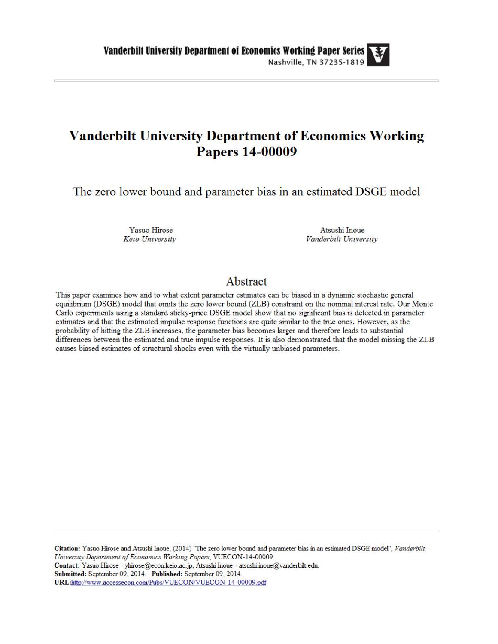## **Vanderbilt University Department of Economics Working Papers 14-00009**

The zero lower bound and parameter bias in an estimated DSGE model

**Yasuo Hirose** Keio University

Atsushi Inoue Vanderbilt University

## Abstract

This paper examines how and to what extent parameter estimates can be biased in a dynamic stochastic general equilibrium (DSGE) model that omits the zero lower bound (ZLB) constraint on the nominal interest rate. Our Monte Carlo experiments using a standard sticky-price DSGE model show that no significant bias is detected in parameter estimates and that the estimated impulse response functions are quite similar to the true ones. However, as the probability of hitting the ZLB increases, the parameter bias becomes larger and therefore leads to substantial differences between the estimated and true impulse responses. It is also demonstrated that the model missing the ZLB causes biased estimates of structural shocks even with the virtually unbiased parameters.

Citation: Yasuo Hirose and Atsushi Inoue, (2014) "The zero lower bound and parameter bias in an estimated DSGE model", Vanderbilt University Department of Economics Working Papers, VUECON-14-00009. Contact: Yasuo Hirose - yhirose@econ.keio.ac.jp, Atsushi Inoue - atsushi.inoue@vanderbilt.edu. Submitted: September 09, 2014. Published: September 09, 2014. URL:http://www.accessecon.com/Pubs/VUECON/VUECON-14-00009.pdf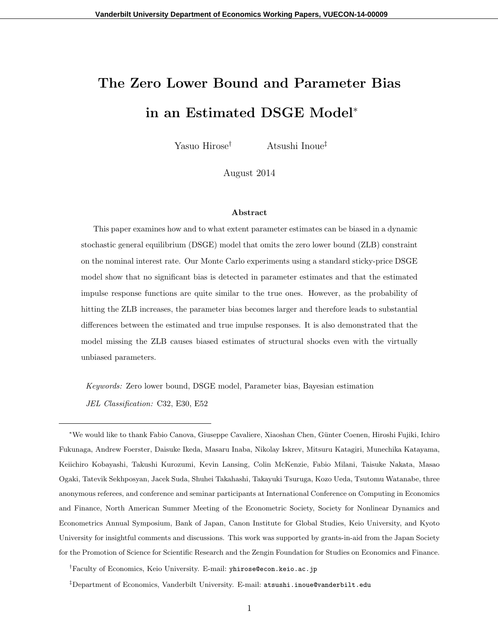# **The Zero Lower Bound and Parameter Bias in an Estimated DSGE Model***<sup>∗</sup>*

Yasuo Hirose*†* Atsushi Inoue*‡*

August 2014

#### **Abstract**

This paper examines how and to what extent parameter estimates can be biased in a dynamic stochastic general equilibrium (DSGE) model that omits the zero lower bound (ZLB) constraint on the nominal interest rate. Our Monte Carlo experiments using a standard sticky-price DSGE model show that no significant bias is detected in parameter estimates and that the estimated impulse response functions are quite similar to the true ones. However, as the probability of hitting the ZLB increases, the parameter bias becomes larger and therefore leads to substantial differences between the estimated and true impulse responses. It is also demonstrated that the model missing the ZLB causes biased estimates of structural shocks even with the virtually unbiased parameters.

*Keywords:* Zero lower bound, DSGE model, Parameter bias, Bayesian estimation

*JEL Classification:* C32, E30, E52

*\**We would like to thank Fabio Canova, Giuseppe Cavaliere, Xiaoshan Chen, Günter Coenen, Hiroshi Fujiki, Ichiro Fukunaga, Andrew Foerster, Daisuke Ikeda, Masaru Inaba, Nikolay Iskrev, Mitsuru Katagiri, Munechika Katayama, Keiichiro Kobayashi, Takushi Kurozumi, Kevin Lansing, Colin McKenzie, Fabio Milani, Taisuke Nakata, Masao Ogaki, Tatevik Sekhposyan, Jacek Suda, Shuhei Takahashi, Takayuki Tsuruga, Kozo Ueda, Tsutomu Watanabe, three anonymous referees, and conference and seminar participants at International Conference on Computing in Economics and Finance, North American Summer Meeting of the Econometric Society, Society for Nonlinear Dynamics and Econometrics Annual Symposium, Bank of Japan, Canon Institute for Global Studies, Keio University, and Kyoto University for insightful comments and discussions. This work was supported by grants-in-aid from the Japan Society for the Promotion of Science for Scientific Research and the Zengin Foundation for Studies on Economics and Finance.

*†*Faculty of Economics, Keio University. E-mail: yhirose@econ.keio.ac.jp

*‡*Department of Economics, Vanderbilt University. E-mail: atsushi.inoue@vanderbilt.edu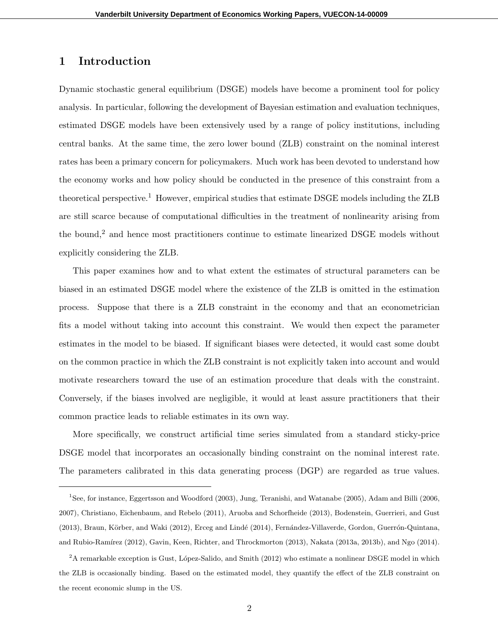## **1 Introduction**

Dynamic stochastic general equilibrium (DSGE) models have become a prominent tool for policy analysis. In particular, following the development of Bayesian estimation and evaluation techniques, estimated DSGE models have been extensively used by a range of policy institutions, including central banks. At the same time, the zero lower bound (ZLB) constraint on the nominal interest rates has been a primary concern for policymakers. Much work has been devoted to understand how the economy works and how policy should be conducted in the presence of this constraint from a theoretical perspective.<sup>1</sup> However, empirical studies that estimate DSGE models including the ZLB are still scarce because of computational difficulties in the treatment of nonlinearity arising from the bound,<sup>2</sup> and hence most practitioners continue to estimate linearized DSGE models without explicitly considering the ZLB.

This paper examines how and to what extent the estimates of structural parameters can be biased in an estimated DSGE model where the existence of the ZLB is omitted in the estimation process. Suppose that there is a ZLB constraint in the economy and that an econometrician fits a model without taking into account this constraint. We would then expect the parameter estimates in the model to be biased. If significant biases were detected, it would cast some doubt on the common practice in which the ZLB constraint is not explicitly taken into account and would motivate researchers toward the use of an estimation procedure that deals with the constraint. Conversely, if the biases involved are negligible, it would at least assure practitioners that their common practice leads to reliable estimates in its own way.

More specifically, we construct artificial time series simulated from a standard sticky-price DSGE model that incorporates an occasionally binding constraint on the nominal interest rate. The parameters calibrated in this data generating process (DGP) are regarded as true values.

<sup>1</sup>See, for instance, Eggertsson and Woodford (2003), Jung, Teranishi, and Watanabe (2005), Adam and Billi (2006, 2007), Christiano, Eichenbaum, and Rebelo (2011), Aruoba and Schorfheide (2013), Bodenstein, Guerrieri, and Gust (2013), Braun, Körber, and Waki (2012), Erceg and Lindé (2014), Fernández-Villaverde, Gordon, Guerrón-Quintana, and Rubio-Ramírez (2012), Gavin, Keen, Richter, and Throckmorton (2013), Nakata (2013a, 2013b), and Ngo (2014).

<sup>&</sup>lt;sup>2</sup>A remarkable exception is Gust, López-Salido, and Smith (2012) who estimate a nonlinear DSGE model in which the ZLB is occasionally binding. Based on the estimated model, they quantify the effect of the ZLB constraint on the recent economic slump in the US.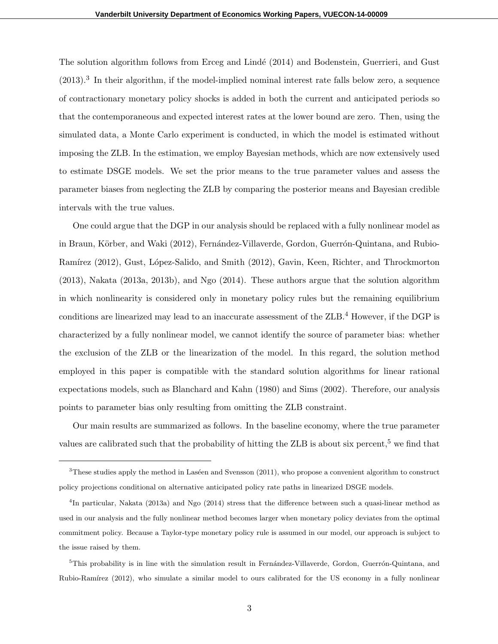The solution algorithm follows from Erceg and Lindé (2014) and Bodenstein, Guerrieri, and Gust  $(2013).$ <sup>3</sup> In their algorithm, if the model-implied nominal interest rate falls below zero, a sequence of contractionary monetary policy shocks is added in both the current and anticipated periods so that the contemporaneous and expected interest rates at the lower bound are zero. Then, using the simulated data, a Monte Carlo experiment is conducted, in which the model is estimated without imposing the ZLB. In the estimation, we employ Bayesian methods, which are now extensively used to estimate DSGE models. We set the prior means to the true parameter values and assess the parameter biases from neglecting the ZLB by comparing the posterior means and Bayesian credible intervals with the true values.

One could argue that the DGP in our analysis should be replaced with a fully nonlinear model as in Braun, Körber, and Waki (2012), Fernández-Villaverde, Gordon, Guerrón-Quintana, and Rubio-Ramírez (2012), Gust, López-Salido, and Smith (2012), Gavin, Keen, Richter, and Throckmorton (2013), Nakata (2013a, 2013b), and Ngo (2014). These authors argue that the solution algorithm in which nonlinearity is considered only in monetary policy rules but the remaining equilibrium conditions are linearized may lead to an inaccurate assessment of the ZLB.<sup>4</sup> However, if the DGP is characterized by a fully nonlinear model, we cannot identify the source of parameter bias: whether the exclusion of the ZLB or the linearization of the model. In this regard, the solution method employed in this paper is compatible with the standard solution algorithms for linear rational expectations models, such as Blanchard and Kahn (1980) and Sims (2002). Therefore, our analysis points to parameter bias only resulting from omitting the ZLB constraint.

Our main results are summarized as follows. In the baseline economy, where the true parameter values are calibrated such that the probability of hitting the ZLB is about six percent,<sup>5</sup> we find that

 $5$ This probability is in line with the simulation result in Fernández-Villaverde, Gordon, Guerrón-Quintana, and Rubio-Ramírez (2012), who simulate a similar model to ours calibrated for the US economy in a fully nonlinear

 $3$ These studies apply the method in Laséen and Svensson (2011), who propose a convenient algorithm to construct policy projections conditional on alternative anticipated policy rate paths in linearized DSGE models.

<sup>&</sup>lt;sup>4</sup>In particular, Nakata (2013a) and Ngo (2014) stress that the difference between such a quasi-linear method as used in our analysis and the fully nonlinear method becomes larger when monetary policy deviates from the optimal commitment policy. Because a Taylor-type monetary policy rule is assumed in our model, our approach is subject to the issue raised by them.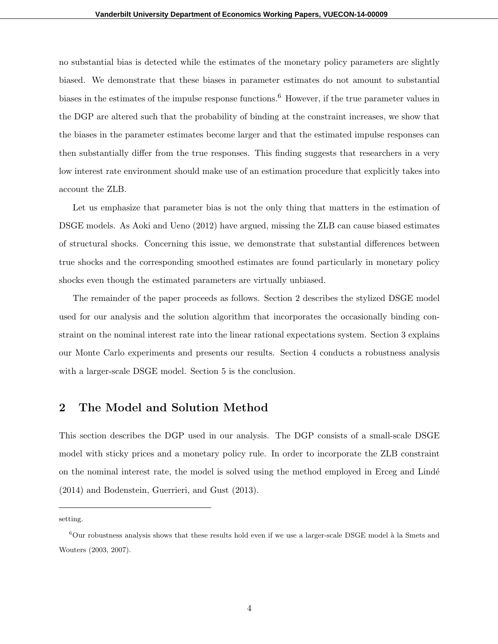no substantial bias is detected while the estimates of the monetary policy parameters are slightly biased. We demonstrate that these biases in parameter estimates do not amount to substantial biases in the estimates of the impulse response functions.<sup>6</sup> However, if the true parameter values in the DGP are altered such that the probability of binding at the constraint increases, we show that the biases in the parameter estimates become larger and that the estimated impulse responses can then substantially differ from the true responses. This finding suggests that researchers in a very low interest rate environment should make use of an estimation procedure that explicitly takes into account the ZLB.

Let us emphasize that parameter bias is not the only thing that matters in the estimation of DSGE models. As Aoki and Ueno (2012) have argued, missing the ZLB can cause biased estimates of structural shocks. Concerning this issue, we demonstrate that substantial differences between true shocks and the corresponding smoothed estimates are found particularly in monetary policy shocks even though the estimated parameters are virtually unbiased.

The remainder of the paper proceeds as follows. Section 2 describes the stylized DSGE model used for our analysis and the solution algorithm that incorporates the occasionally binding constraint on the nominal interest rate into the linear rational expectations system. Section 3 explains our Monte Carlo experiments and presents our results. Section 4 conducts a robustness analysis with a larger-scale DSGE model. Section 5 is the conclusion.

## **2 The Model and Solution Method**

This section describes the DGP used in our analysis. The DGP consists of a small-scale DSGE model with sticky prices and a monetary policy rule. In order to incorporate the ZLB constraint on the nominal interest rate, the model is solved using the method employed in Erceg and Lind´e (2014) and Bodenstein, Guerrieri, and Gust (2013).

setting.

 $6$ Our robustness analysis shows that these results hold even if we use a larger-scale DSGE model à la Smets and Wouters (2003, 2007).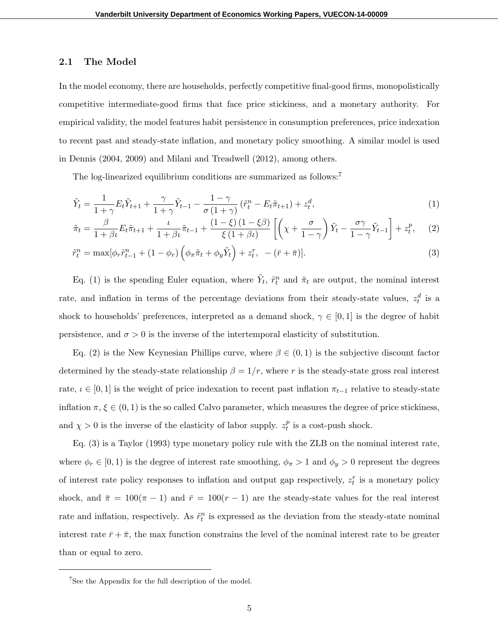#### **2.1 The Model**

In the model economy, there are households, perfectly competitive final-good firms, monopolistically competitive intermediate-good firms that face price stickiness, and a monetary authority. For empirical validity, the model features habit persistence in consumption preferences, price indexation to recent past and steady-state inflation, and monetary policy smoothing. A similar model is used in Dennis (2004, 2009) and Milani and Treadwell (2012), among others.

The log-linearized equilibrium conditions are summarized as follows:<sup>7</sup>

$$
\tilde{Y}_t = \frac{1}{1+\gamma} E_t \tilde{Y}_{t+1} + \frac{\gamma}{1+\gamma} \tilde{Y}_{t-1} - \frac{1-\gamma}{\sigma(1+\gamma)} (\tilde{r}_t^n - E_t \tilde{\pi}_{t+1}) + z_t^d,
$$
\n
$$
\tag{1}
$$

$$
\tilde{\pi}_t = \frac{\beta}{1+\beta t} E_t \tilde{\pi}_{t+1} + \frac{\iota}{1+\beta t} \tilde{\pi}_{t-1} + \frac{(1-\xi)(1-\xi\beta)}{\xi(1+\beta t)} \left[ \left( \chi + \frac{\sigma}{1-\gamma} \right) \tilde{Y}_t - \frac{\sigma\gamma}{1-\gamma} \tilde{Y}_{t-1} \right] + z_t^p, \quad (2)
$$

$$
\tilde{r}_t^n = \max[\phi_r \tilde{r}_{t-1}^n + (1 - \phi_r) \left( \phi_\pi \tilde{\pi}_t + \phi_y \tilde{Y}_t \right) + z_t^r, \ -(\bar{r} + \bar{\pi})].\tag{3}
$$

Eq. (1) is the spending Euler equation, where  $\tilde{Y}_t$ ,  $\tilde{r}_t^n$  and  $\tilde{\pi}_t$  are output, the nominal interest rate, and inflation in terms of the percentage deviations from their steady-state values,  $z_t^d$  is a shock to households' preferences, interpreted as a demand shock,  $\gamma \in [0,1]$  is the degree of habit persistence, and  $\sigma > 0$  is the inverse of the intertemporal elasticity of substitution.

Eq. (2) is the New Keynesian Phillips curve, where  $\beta \in (0,1)$  is the subjective discount factor determined by the steady-state relationship  $\beta = 1/r$ , where r is the steady-state gross real interest rate,  $\iota \in [0,1]$  is the weight of price indexation to recent past inflation  $\pi_{t-1}$  relative to steady-state inflation  $\pi, \xi \in (0, 1)$  is the so called Calvo parameter, which measures the degree of price stickiness, and  $\chi > 0$  is the inverse of the elasticity of labor supply.  $z_t^p$  $_t^p$  is a cost-push shock.

Eq. (3) is a Taylor (1993) type monetary policy rule with the ZLB on the nominal interest rate, where  $\phi_r \in [0,1)$  is the degree of interest rate smoothing,  $\phi_{\pi} > 1$  and  $\phi_y > 0$  represent the degrees of interest rate policy responses to inflation and output gap respectively,  $z_t^r$  is a monetary policy shock, and  $\bar{\pi} = 100(\pi - 1)$  and  $\bar{r} = 100(r - 1)$  are the steady-state values for the real interest rate and inflation, respectively. As  $\tilde{r}_t^n$  is expressed as the deviation from the steady-state nominal interest rate  $\bar{r} + \bar{\pi}$ , the max function constrains the level of the nominal interest rate to be greater than or equal to zero.

<sup>&</sup>lt;sup>7</sup>See the Appendix for the full description of the model.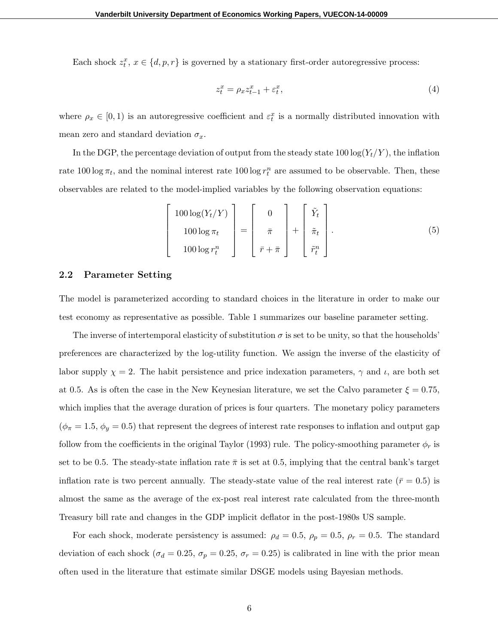Each shock  $z_t^x$ ,  $x \in \{d, p, r\}$  is governed by a stationary first-order autoregressive process:

$$
z_t^x = \rho_x z_{t-1}^x + \varepsilon_t^x,\tag{4}
$$

where  $\rho_x \in [0,1)$  is an autoregressive coefficient and  $\varepsilon_t^x$  is a normally distributed innovation with mean zero and standard deviation  $\sigma_x$ .

In the DGP, the percentage deviation of output from the steady state  $100 \log(Y_t/Y)$ , the inflation rate  $100 \log \pi_t$ , and the nominal interest rate  $100 \log r_t^n$  are assumed to be observable. Then, these observables are related to the model-implied variables by the following observation equations:

$$
\begin{bmatrix}\n100 \log(Y_t/Y) \\
100 \log \pi_t \\
100 \log r_t^n\n\end{bmatrix} = \begin{bmatrix}\n0 \\
\bar{\pi} \\
\bar{\pi} + \bar{\pi}\n\end{bmatrix} + \begin{bmatrix}\n\tilde{Y}_t \\
\tilde{\pi}_t \\
\tilde{r}_t^n\n\end{bmatrix}.
$$
\n(5)

#### **2.2 Parameter Setting**

The model is parameterized according to standard choices in the literature in order to make our test economy as representative as possible. Table 1 summarizes our baseline parameter setting.

The inverse of intertemporal elasticity of substitution  $\sigma$  is set to be unity, so that the households' preferences are characterized by the log-utility function. We assign the inverse of the elasticity of labor supply  $\chi = 2$ . The habit persistence and price indexation parameters,  $\gamma$  and  $\iota$ , are both set at 0.5. As is often the case in the New Keynesian literature, we set the Calvo parameter  $\xi = 0.75$ , which implies that the average duration of prices is four quarters. The monetary policy parameters  $(\phi_{\pi} = 1.5, \phi_y = 0.5)$  that represent the degrees of interest rate responses to inflation and output gap follow from the coefficients in the original Taylor (1993) rule. The policy-smoothing parameter  $\phi_r$  is set to be 0.5. The steady-state inflation rate  $\bar{\pi}$  is set at 0.5, implying that the central bank's target inflation rate is two percent annually. The steady-state value of the real interest rate ( $\bar{r} = 0.5$ ) is almost the same as the average of the ex-post real interest rate calculated from the three-month Treasury bill rate and changes in the GDP implicit deflator in the post-1980s US sample.

For each shock, moderate persistency is assumed:  $\rho_d = 0.5$ ,  $\rho_p = 0.5$ ,  $\rho_r = 0.5$ . The standard deviation of each shock ( $\sigma_d = 0.25$ ,  $\sigma_p = 0.25$ ,  $\sigma_r = 0.25$ ) is calibrated in line with the prior mean often used in the literature that estimate similar DSGE models using Bayesian methods.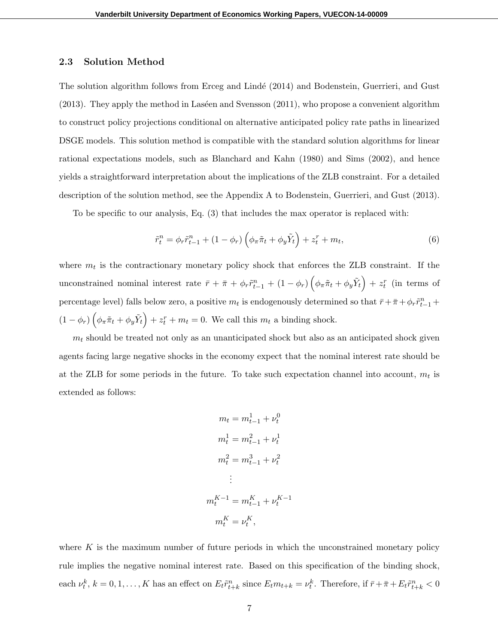#### **2.3 Solution Method**

The solution algorithm follows from Erceg and Lindé (2014) and Bodenstein, Guerrieri, and Gust  $(2013)$ . They apply the method in Laséen and Svensson  $(2011)$ , who propose a convenient algorithm to construct policy projections conditional on alternative anticipated policy rate paths in linearized DSGE models. This solution method is compatible with the standard solution algorithms for linear rational expectations models, such as Blanchard and Kahn (1980) and Sims (2002), and hence yields a straightforward interpretation about the implications of the ZLB constraint. For a detailed description of the solution method, see the Appendix A to Bodenstein, Guerrieri, and Gust (2013).

To be specific to our analysis, Eq. (3) that includes the max operator is replaced with:

$$
\tilde{r}_t^n = \phi_r \tilde{r}_{t-1}^n + (1 - \phi_r) \left( \phi_\pi \tilde{\pi}_t + \phi_y \tilde{Y}_t \right) + z_t^r + m_t,
$$
\n(6)

where  $m_t$  is the contractionary monetary policy shock that enforces the ZLB constraint. If the unconstrained nominal interest rate  $\bar{r} + \bar{\pi} + \phi_r \tilde{r}_{t-1}^n + (1 - \phi_r) \left( \phi_\pi \tilde{\pi}_t + \phi_y \tilde{Y}_t \right) + z_t^r$  (in terms of percentage level) falls below zero, a positive  $m_t$  is endogenously determined so that  $\bar{r} + \bar{\pi} + \phi_r \tilde{r}_{t-1}^n +$  $(1 - \phi_r) \left( \phi_\pi \tilde{\pi}_t + \phi_y \tilde{Y}_t \right) + z_t^r + m_t = 0$ . We call this  $m_t$  a binding shock.

*m<sup>t</sup>* should be treated not only as an unanticipated shock but also as an anticipated shock given agents facing large negative shocks in the economy expect that the nominal interest rate should be at the ZLB for some periods in the future. To take such expectation channel into account,  $m_t$  is extended as follows:

$$
m_t = m_{t-1}^1 + \nu_t^0
$$
  
\n
$$
m_t^1 = m_{t-1}^2 + \nu_t^1
$$
  
\n
$$
m_t^2 = m_{t-1}^3 + \nu_t^2
$$
  
\n:  
\n:  
\n
$$
m_t^{K-1} = m_{t-1}^K + \nu_t^{K-1}
$$
  
\n
$$
m_t^K = \nu_t^K,
$$

where  $K$  is the maximum number of future periods in which the unconstrained monetary policy rule implies the negative nominal interest rate. Based on this specification of the binding shock, each  $\nu_t^k$ ,  $k = 0, 1, ..., K$  has an effect on  $E_t \tilde{r}_{t+k}^n$  since  $E_t m_{t+k} = \nu_t^k$ . Therefore, if  $\bar{r} + \bar{\pi} + E_t \tilde{r}_{t+k}^n < 0$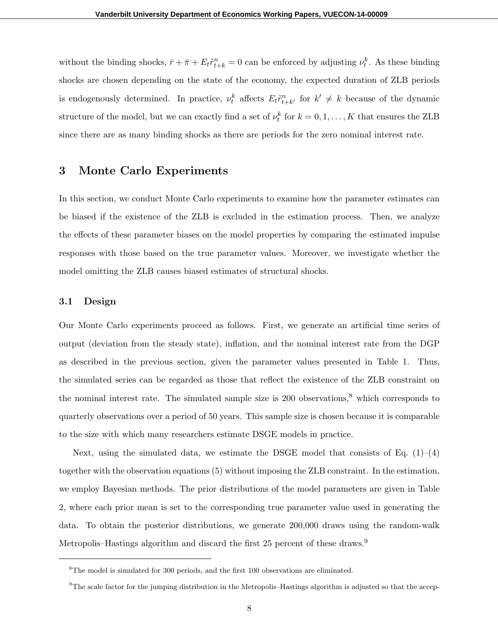without the binding shocks,  $\bar{r} + \bar{\pi} + E_t \tilde{r}_{t+k}^n = 0$  can be enforced by adjusting  $\nu_t^k$ . As these binding shocks are chosen depending on the state of the economy, the expected duration of ZLB periods is endogenously determined. In practice,  $\nu_t^k$  affects  $E_t \tilde{r}_{t+k'}^n$  for  $k' \neq k$  because of the dynamic structure of the model, but we can exactly find a set of  $\nu_t^k$  for  $k = 0, 1, \ldots, K$  that ensures the ZLB since there are as many binding shocks as there are periods for the zero nominal interest rate.

#### **3 Monte Carlo Experiments**

In this section, we conduct Monte Carlo experiments to examine how the parameter estimates can be biased if the existence of the ZLB is excluded in the estimation process. Then, we analyze the effects of these parameter biases on the model properties by comparing the estimated impulse responses with those based on the true parameter values. Moreover, we investigate whether the model omitting the ZLB causes biased estimates of structural shocks.

#### **3.1 Design**

Our Monte Carlo experiments proceed as follows. First, we generate an artificial time series of output (deviation from the steady state), inflation, and the nominal interest rate from the DGP as described in the previous section, given the parameter values presented in Table 1. Thus, the simulated series can be regarded as those that reflect the existence of the ZLB constraint on the nominal interest rate. The simulated sample size is  $200$  observations,<sup>8</sup> which corresponds to quarterly observations over a period of 50 years. This sample size is chosen because it is comparable to the size with which many researchers estimate DSGE models in practice.

Next, using the simulated data, we estimate the DSGE model that consists of Eq. (1)–(4) together with the observation equations (5) without imposing the ZLB constraint. In the estimation, we employ Bayesian methods. The prior distributions of the model parameters are given in Table 2, where each prior mean is set to the corresponding true parameter value used in generating the data. To obtain the posterior distributions, we generate 200,000 draws using the random-walk Metropolis–Hastings algorithm and discard the first 25 percent of these draws.<sup>9</sup>

<sup>8</sup>The model is simulated for 300 periods, and the first 100 observations are eliminated.

 $9$ The scale factor for the jumping distribution in the Metropolis–Hastings algorithm is adjusted so that the accep-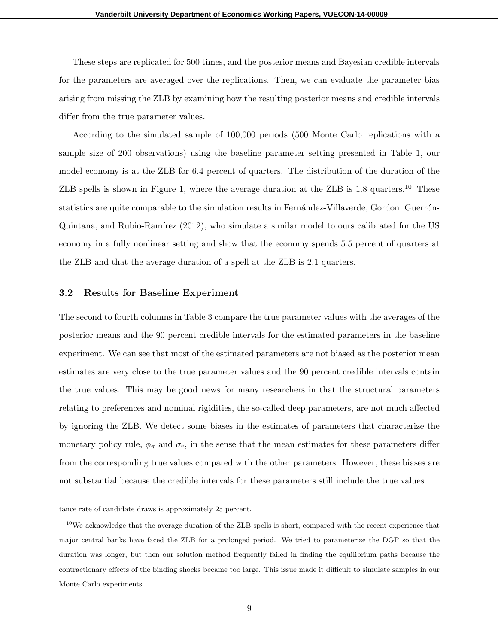These steps are replicated for 500 times, and the posterior means and Bayesian credible intervals for the parameters are averaged over the replications. Then, we can evaluate the parameter bias arising from missing the ZLB by examining how the resulting posterior means and credible intervals differ from the true parameter values.

According to the simulated sample of 100,000 periods (500 Monte Carlo replications with a sample size of 200 observations) using the baseline parameter setting presented in Table 1, our model economy is at the ZLB for 6.4 percent of quarters. The distribution of the duration of the ZLB spells is shown in Figure 1, where the average duration at the ZLB is  $1.8$  quarters.<sup>10</sup> These statistics are quite comparable to the simulation results in Fernandez-Villaverde, Gordon, Guerron-Quintana, and Rubio-Ramírez  $(2012)$ , who simulate a similar model to ours calibrated for the US economy in a fully nonlinear setting and show that the economy spends 5.5 percent of quarters at the ZLB and that the average duration of a spell at the ZLB is 2.1 quarters.

#### **3.2 Results for Baseline Experiment**

The second to fourth columns in Table 3 compare the true parameter values with the averages of the posterior means and the 90 percent credible intervals for the estimated parameters in the baseline experiment. We can see that most of the estimated parameters are not biased as the posterior mean estimates are very close to the true parameter values and the 90 percent credible intervals contain the true values. This may be good news for many researchers in that the structural parameters relating to preferences and nominal rigidities, the so-called deep parameters, are not much affected by ignoring the ZLB. We detect some biases in the estimates of parameters that characterize the monetary policy rule,  $\phi_{\pi}$  and  $\sigma_{r}$ , in the sense that the mean estimates for these parameters differ from the corresponding true values compared with the other parameters. However, these biases are not substantial because the credible intervals for these parameters still include the true values.

tance rate of candidate draws is approximately 25 percent.

<sup>&</sup>lt;sup>10</sup>We acknowledge that the average duration of the ZLB spells is short, compared with the recent experience that major central banks have faced the ZLB for a prolonged period. We tried to parameterize the DGP so that the duration was longer, but then our solution method frequently failed in finding the equilibrium paths because the contractionary effects of the binding shocks became too large. This issue made it difficult to simulate samples in our Monte Carlo experiments.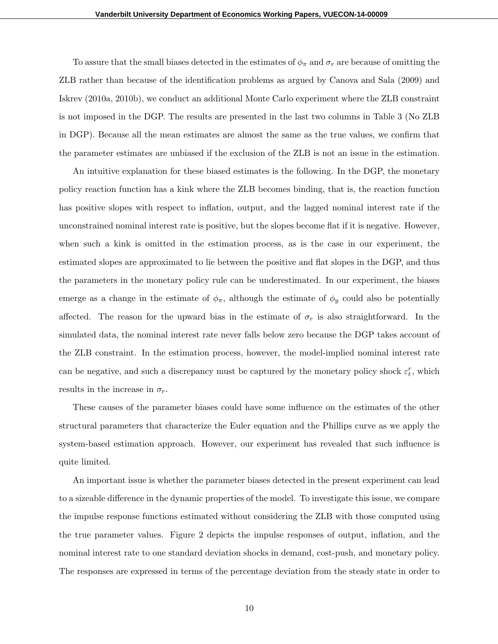To assure that the small biases detected in the estimates of  $\phi_{\pi}$  and  $\sigma_r$  are because of omitting the ZLB rather than because of the identification problems as argued by Canova and Sala (2009) and Iskrev (2010a, 2010b), we conduct an additional Monte Carlo experiment where the ZLB constraint is not imposed in the DGP. The results are presented in the last two columns in Table 3 (No ZLB in DGP). Because all the mean estimates are almost the same as the true values, we confirm that the parameter estimates are unbiased if the exclusion of the ZLB is not an issue in the estimation.

An intuitive explanation for these biased estimates is the following. In the DGP, the monetary policy reaction function has a kink where the ZLB becomes binding, that is, the reaction function has positive slopes with respect to inflation, output, and the lagged nominal interest rate if the unconstrained nominal interest rate is positive, but the slopes become flat if it is negative. However, when such a kink is omitted in the estimation process, as is the case in our experiment, the estimated slopes are approximated to lie between the positive and flat slopes in the DGP, and thus the parameters in the monetary policy rule can be underestimated. In our experiment, the biases emerge as a change in the estimate of  $\phi_{\pi}$ , although the estimate of  $\phi_{y}$  could also be potentially affected. The reason for the upward bias in the estimate of  $\sigma_r$  is also straightforward. In the simulated data, the nominal interest rate never falls below zero because the DGP takes account of the ZLB constraint. In the estimation process, however, the model-implied nominal interest rate can be negative, and such a discrepancy must be captured by the monetary policy shock  $\varepsilon_t^r$ , which results in the increase in  $\sigma_r$ .

These causes of the parameter biases could have some influence on the estimates of the other structural parameters that characterize the Euler equation and the Phillips curve as we apply the system-based estimation approach. However, our experiment has revealed that such influence is quite limited.

An important issue is whether the parameter biases detected in the present experiment can lead to a sizeable difference in the dynamic properties of the model. To investigate this issue, we compare the impulse response functions estimated without considering the ZLB with those computed using the true parameter values. Figure 2 depicts the impulse responses of output, inflation, and the nominal interest rate to one standard deviation shocks in demand, cost-push, and monetary policy. The responses are expressed in terms of the percentage deviation from the steady state in order to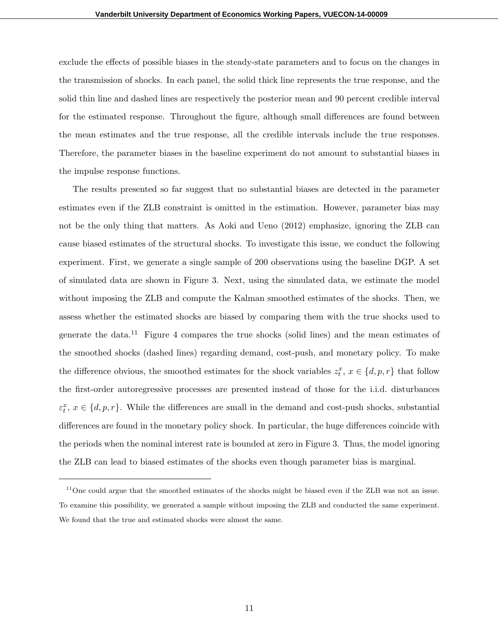exclude the effects of possible biases in the steady-state parameters and to focus on the changes in the transmission of shocks. In each panel, the solid thick line represents the true response, and the solid thin line and dashed lines are respectively the posterior mean and 90 percent credible interval for the estimated response. Throughout the figure, although small differences are found between the mean estimates and the true response, all the credible intervals include the true responses. Therefore, the parameter biases in the baseline experiment do not amount to substantial biases in the impulse response functions.

The results presented so far suggest that no substantial biases are detected in the parameter estimates even if the ZLB constraint is omitted in the estimation. However, parameter bias may not be the only thing that matters. As Aoki and Ueno (2012) emphasize, ignoring the ZLB can cause biased estimates of the structural shocks. To investigate this issue, we conduct the following experiment. First, we generate a single sample of 200 observations using the baseline DGP. A set of simulated data are shown in Figure 3. Next, using the simulated data, we estimate the model without imposing the ZLB and compute the Kalman smoothed estimates of the shocks. Then, we assess whether the estimated shocks are biased by comparing them with the true shocks used to generate the data.<sup>11</sup> Figure 4 compares the true shocks (solid lines) and the mean estimates of the smoothed shocks (dashed lines) regarding demand, cost-push, and monetary policy. To make the difference obvious, the smoothed estimates for the shock variables  $z_t^x$ ,  $x \in \{d, p, r\}$  that follow the first-order autoregressive processes are presented instead of those for the i.i.d. disturbances  $\varepsilon_t^x$ ,  $x \in \{d, p, r\}$ . While the differences are small in the demand and cost-push shocks, substantial differences are found in the monetary policy shock. In particular, the huge differences coincide with the periods when the nominal interest rate is bounded at zero in Figure 3. Thus, the model ignoring the ZLB can lead to biased estimates of the shocks even though parameter bias is marginal.

<sup>&</sup>lt;sup>11</sup>One could argue that the smoothed estimates of the shocks might be biased even if the ZLB was not an issue. To examine this possibility, we generated a sample without imposing the ZLB and conducted the same experiment. We found that the true and estimated shocks were almost the same.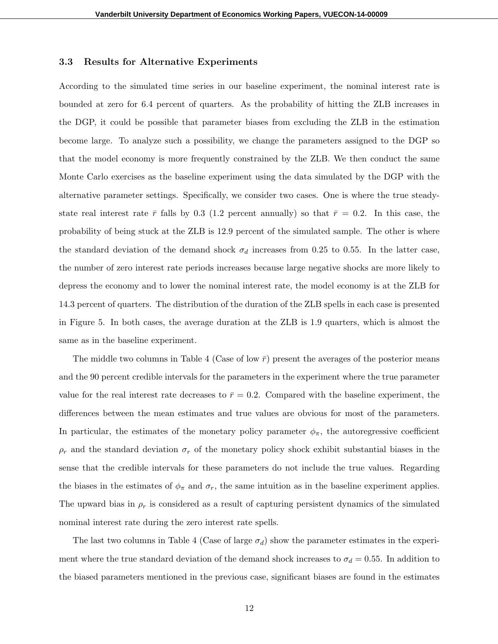#### **3.3 Results for Alternative Experiments**

According to the simulated time series in our baseline experiment, the nominal interest rate is bounded at zero for 6.4 percent of quarters. As the probability of hitting the ZLB increases in the DGP, it could be possible that parameter biases from excluding the ZLB in the estimation become large. To analyze such a possibility, we change the parameters assigned to the DGP so that the model economy is more frequently constrained by the ZLB. We then conduct the same Monte Carlo exercises as the baseline experiment using the data simulated by the DGP with the alternative parameter settings. Specifically, we consider two cases. One is where the true steadystate real interest rate  $\bar{r}$  falls by 0.3 (1.2 percent annually) so that  $\bar{r} = 0.2$ . In this case, the probability of being stuck at the ZLB is 12.9 percent of the simulated sample. The other is where the standard deviation of the demand shock  $\sigma_d$  increases from 0.25 to 0.55. In the latter case, the number of zero interest rate periods increases because large negative shocks are more likely to depress the economy and to lower the nominal interest rate, the model economy is at the ZLB for 14.3 percent of quarters. The distribution of the duration of the ZLB spells in each case is presented in Figure 5. In both cases, the average duration at the ZLB is 1.9 quarters, which is almost the same as in the baseline experiment.

The middle two columns in Table 4 (Case of low  $\bar{r}$ ) present the averages of the posterior means and the 90 percent credible intervals for the parameters in the experiment where the true parameter value for the real interest rate decreases to  $\bar{r} = 0.2$ . Compared with the baseline experiment, the differences between the mean estimates and true values are obvious for most of the parameters. In particular, the estimates of the monetary policy parameter  $\phi_{\pi}$ , the autoregressive coefficient  $\rho_r$  and the standard deviation  $\sigma_r$  of the monetary policy shock exhibit substantial biases in the sense that the credible intervals for these parameters do not include the true values. Regarding the biases in the estimates of  $\phi_{\pi}$  and  $\sigma_{r}$ , the same intuition as in the baseline experiment applies. The upward bias in  $\rho_r$  is considered as a result of capturing persistent dynamics of the simulated nominal interest rate during the zero interest rate spells.

The last two columns in Table 4 (Case of large  $\sigma_d$ ) show the parameter estimates in the experiment where the true standard deviation of the demand shock increases to  $\sigma_d = 0.55$ . In addition to the biased parameters mentioned in the previous case, significant biases are found in the estimates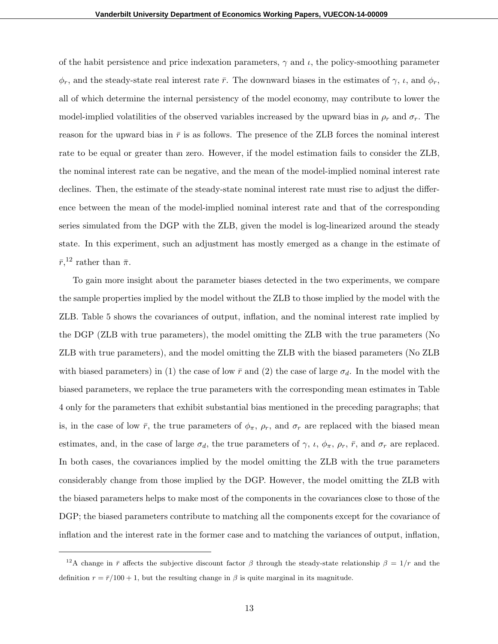of the habit persistence and price indexation parameters, *γ* and *ι*, the policy-smoothing parameter  $\phi_r$ , and the steady-state real interest rate  $\bar{r}$ . The downward biases in the estimates of  $\gamma$ , *ι*, and  $\phi_r$ , all of which determine the internal persistency of the model economy, may contribute to lower the model-implied volatilities of the observed variables increased by the upward bias in  $\rho_r$  and  $\sigma_r$ . The reason for the upward bias in  $\bar{r}$  is as follows. The presence of the ZLB forces the nominal interest rate to be equal or greater than zero. However, if the model estimation fails to consider the ZLB, the nominal interest rate can be negative, and the mean of the model-implied nominal interest rate declines. Then, the estimate of the steady-state nominal interest rate must rise to adjust the difference between the mean of the model-implied nominal interest rate and that of the corresponding series simulated from the DGP with the ZLB, given the model is log-linearized around the steady state. In this experiment, such an adjustment has mostly emerged as a change in the estimate of  $\bar{r}$ <sup>12</sup> rather than  $\bar{\pi}$ .

To gain more insight about the parameter biases detected in the two experiments, we compare the sample properties implied by the model without the ZLB to those implied by the model with the ZLB. Table 5 shows the covariances of output, inflation, and the nominal interest rate implied by the DGP (ZLB with true parameters), the model omitting the ZLB with the true parameters (No ZLB with true parameters), and the model omitting the ZLB with the biased parameters (No ZLB with biased parameters) in (1) the case of low  $\bar{r}$  and (2) the case of large  $\sigma_d$ . In the model with the biased parameters, we replace the true parameters with the corresponding mean estimates in Table 4 only for the parameters that exhibit substantial bias mentioned in the preceding paragraphs; that is, in the case of low  $\bar{r}$ , the true parameters of  $\phi_{\pi}$ ,  $\rho_{r}$ , and  $\sigma_{r}$  are replaced with the biased mean estimates, and, in the case of large  $\sigma_d$ , the true parameters of  $\gamma$ ,  $\iota$ ,  $\phi_{\pi}$ ,  $\rho_r$ ,  $\bar{r}$ , and  $\sigma_r$  are replaced. In both cases, the covariances implied by the model omitting the ZLB with the true parameters considerably change from those implied by the DGP. However, the model omitting the ZLB with the biased parameters helps to make most of the components in the covariances close to those of the DGP; the biased parameters contribute to matching all the components except for the covariance of inflation and the interest rate in the former case and to matching the variances of output, inflation,

<sup>&</sup>lt;sup>12</sup>A change in  $\bar{r}$  affects the subjective discount factor  $\beta$  through the steady-state relationship  $\beta = 1/r$  and the definition  $r = \bar{r}/100 + 1$ , but the resulting change in  $\beta$  is quite marginal in its magnitude.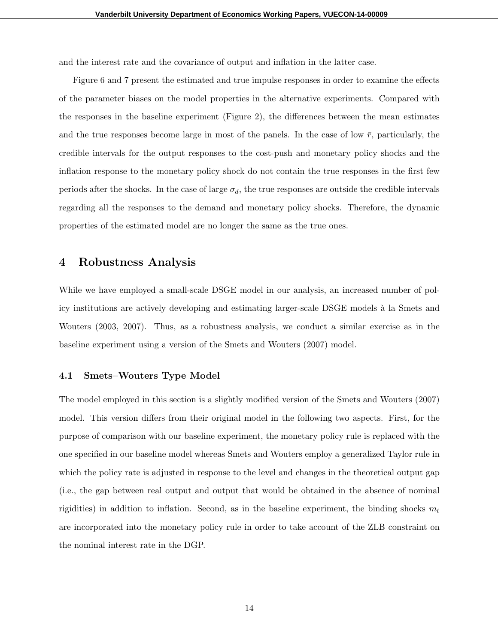and the interest rate and the covariance of output and inflation in the latter case.

Figure 6 and 7 present the estimated and true impulse responses in order to examine the effects of the parameter biases on the model properties in the alternative experiments. Compared with the responses in the baseline experiment (Figure 2), the differences between the mean estimates and the true responses become large in most of the panels. In the case of low  $\bar{r}$ , particularly, the credible intervals for the output responses to the cost-push and monetary policy shocks and the inflation response to the monetary policy shock do not contain the true responses in the first few periods after the shocks. In the case of large  $\sigma_d$ , the true responses are outside the credible intervals regarding all the responses to the demand and monetary policy shocks. Therefore, the dynamic properties of the estimated model are no longer the same as the true ones.

#### **4 Robustness Analysis**

While we have employed a small-scale DSGE model in our analysis, an increased number of policy institutions are actively developing and estimating larger-scale DSGE models `a la Smets and Wouters (2003, 2007). Thus, as a robustness analysis, we conduct a similar exercise as in the baseline experiment using a version of the Smets and Wouters (2007) model.

#### **4.1 Smets–Wouters Type Model**

The model employed in this section is a slightly modified version of the Smets and Wouters (2007) model. This version differs from their original model in the following two aspects. First, for the purpose of comparison with our baseline experiment, the monetary policy rule is replaced with the one specified in our baseline model whereas Smets and Wouters employ a generalized Taylor rule in which the policy rate is adjusted in response to the level and changes in the theoretical output gap (i.e., the gap between real output and output that would be obtained in the absence of nominal rigidities) in addition to inflation. Second, as in the baseline experiment, the binding shocks  $m_t$ are incorporated into the monetary policy rule in order to take account of the ZLB constraint on the nominal interest rate in the DGP.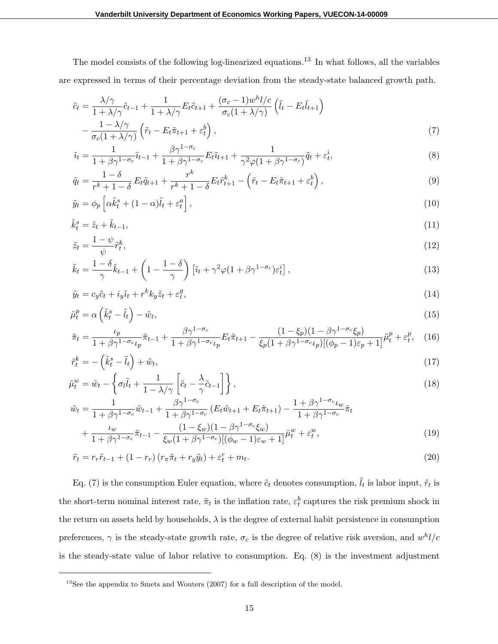The model consists of the following log-linearized equations.<sup>13</sup> In what follows, all the variables are expressed in terms of their percentage deviation from the steady-state balanced growth path.

$$
\tilde{c}_t = \frac{\lambda/\gamma}{1 + \lambda/\gamma} \tilde{c}_{t-1} + \frac{1}{1 + \lambda/\gamma} E_t \tilde{c}_{t+1} + \frac{(\sigma_c - 1)w^h l/c}{\sigma_c (1 + \lambda/\gamma)} \left(\tilde{l}_t - E_t \tilde{l}_{t+1}\right) \n- \frac{1 - \lambda/\gamma}{\sigma_c (1 + \lambda/\gamma)} \left(\tilde{r}_t - E_t \tilde{\pi}_{t+1} + \varepsilon_t^b\right),
$$
\n(7)

$$
\tilde{u}_t = \frac{1}{1 + \beta \gamma^{1 - \sigma_c}} \tilde{u}_{t-1} + \frac{\beta \gamma^{1 - \sigma_c}}{1 + \beta \gamma^{1 - \sigma_c}} E_t \tilde{u}_{t+1} + \frac{1}{\gamma^2 \varphi (1 + \beta \gamma^{1 - \sigma_c})} \tilde{q}_t + \varepsilon_t^i,
$$
\n(8)

$$
\tilde{q}_t = \frac{1-\delta}{r^k+1-\delta} E_t \tilde{q}_{t+1} + \frac{r^k}{r^k+1-\delta} E_t \tilde{r}_{t+1}^k - \left(\tilde{r}_t - E_t \tilde{\pi}_{t+1} + \varepsilon_t^b\right),\tag{9}
$$

$$
\tilde{y}_t = \phi_p \left[ \alpha \tilde{k}_t^s + (1 - \alpha) \tilde{l}_t + \varepsilon_t^a \right],\tag{10}
$$

$$
\tilde{k}_t^s = \tilde{z}_t + \tilde{k}_{t-1},\tag{11}
$$

$$
\tilde{z}_t = \frac{1 - \psi}{\psi} \tilde{r}_t^k,\tag{12}
$$

$$
\tilde{k}_t = \frac{1-\delta}{\gamma} \tilde{k}_{t-1} + \left(1 - \frac{1-\delta}{\gamma}\right) \left[\tilde{i}_t + \gamma^2 \varphi (1 + \beta \gamma^{1-\sigma_c}) \varepsilon_t^i\right],\tag{13}
$$

$$
\tilde{y}_t = c_y \tilde{c}_t + i_y \tilde{i}_t + r^k k_y \tilde{z}_t + \varepsilon_t^g,\tag{14}
$$

$$
\tilde{\mu}_t^p = \alpha \left( \tilde{k}_t^s - \tilde{l}_t \right) - \tilde{w}_t,\tag{15}
$$

$$
\tilde{\pi}_t = \frac{\iota_p}{1 + \beta \gamma^{1 - \sigma_c} \iota_p} \tilde{\pi}_{t-1} + \frac{\beta \gamma^{1 - \sigma_c}}{1 + \beta \gamma^{1 - \sigma_c} \iota_p} E_t \tilde{\pi}_{t+1} - \frac{(1 - \xi_p)(1 - \beta \gamma^{1 - \sigma_c} \xi_p)}{\xi_p (1 + \beta \gamma^{1 - \sigma_c} \iota_p) [(\phi_p - 1)\varepsilon_p + 1]} \tilde{\mu}_t^p + \varepsilon_t^p, \quad (16)
$$

$$
\tilde{r}_t^k = -\left(\tilde{k}_t^s - \tilde{l}_t\right) + \tilde{w}_t,\tag{17}
$$

$$
\tilde{\mu}_t^w = \tilde{w}_t - \left\{ \sigma_t \tilde{l}_t + \frac{1}{1 - \lambda/\gamma} \left[ \tilde{c}_t - \frac{\lambda}{\gamma} \tilde{c}_{t-1} \right] \right\},\tag{18}
$$

$$
\tilde{w}_t = \frac{1}{1 + \beta \gamma^{1 - \sigma_c}} \tilde{w}_{t-1} + \frac{\beta \gamma^{1 - \sigma_c}}{1 + \beta \gamma^{1 - \sigma_c}} \left( E_t \tilde{w}_{t+1} + E_t \tilde{\pi}_{t+1} \right) - \frac{1 + \beta \gamma^{1 - \sigma_c}}{1 + \beta \gamma^{1 - \sigma_c}} \tilde{\pi}_t \n+ \frac{\iota_w}{1 + \beta \gamma^{1 - \sigma_c}} \tilde{\pi}_{t-1} - \frac{(1 - \xi_w)(1 - \beta \gamma^{1 - \sigma_c} \xi_w)}{\xi_w (1 + \beta \gamma^{1 - \sigma_c}) \left[ (\phi_w - 1)\varepsilon_w + 1 \right]} \tilde{\mu}_t^w + \varepsilon_t^w,
$$
\n(19)

$$
\tilde{r}_t = r_r \tilde{r}_{t-1} + (1 - r_r) \left( r_\pi \tilde{\pi}_t + r_y \tilde{y}_t \right) + \varepsilon_t^r + m_t. \tag{20}
$$

Eq. (7) is the consumption Euler equation, where  $\tilde{c}_t$  denotes consumption,  $\tilde{l}_t$  is labor input,  $\tilde{r}_t$  is the short-term nominal interest rate,  $\tilde{\pi}_t$  is the inflation rate,  $\varepsilon_t^b$  captures the risk premium shock in the return on assets held by households,  $\lambda$  is the degree of external habit persistence in consumption preferences,  $\gamma$  is the steady-state growth rate,  $\sigma_c$  is the degree of relative risk aversion, and  $w^h l/c$ is the steady-state value of labor relative to consumption. Eq. (8) is the investment adjustment

<sup>&</sup>lt;sup>13</sup>See the appendix to Smets and Wouters (2007) for a full description of the model.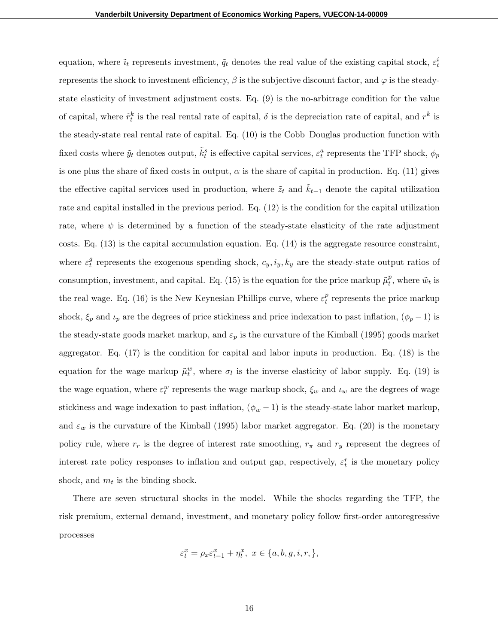equation, where  $\tilde{i}_t$  represents investment,  $\tilde{q}_t$  denotes the real value of the existing capital stock,  $\varepsilon_t^i$ represents the shock to investment efficiency,  $\beta$  is the subjective discount factor, and  $\varphi$  is the steadystate elasticity of investment adjustment costs. Eq. (9) is the no-arbitrage condition for the value of capital, where  $\tilde{r}_t^k$  is the real rental rate of capital,  $\delta$  is the depreciation rate of capital, and  $r^k$  is the steady-state real rental rate of capital. Eq. (10) is the Cobb–Douglas production function with fixed costs where  $\tilde{y}_t$  denotes output,  $\tilde{k}_t^s$  is effective capital services,  $\varepsilon_t^a$  represents the TFP shock,  $\phi_p$ is one plus the share of fixed costs in output,  $\alpha$  is the share of capital in production. Eq. (11) gives the effective capital services used in production, where  $\tilde{z}_t$  and  $k_{t-1}$  denote the capital utilization rate and capital installed in the previous period. Eq. (12) is the condition for the capital utilization rate, where  $\psi$  is determined by a function of the steady-state elasticity of the rate adjustment costs. Eq. (13) is the capital accumulation equation. Eq. (14) is the aggregate resource constraint, where  $\varepsilon_t^g$  $\frac{g}{t}$  represents the exogenous spending shock,  $c_y$ ,  $i_y$ ,  $k_y$  are the steady-state output ratios of consumption, investment, and capital. Eq. (15) is the equation for the price markup  $\tilde{\mu}_t^p$  $_t^p$ , where  $\tilde{w}_t$  is the real wage. Eq. (16) is the New Keynesian Phillips curve, where  $\varepsilon_t^p$  $t_t$ <sup>*r*</sup> represents the price markup shock,  $\xi_p$  and  $\iota_p$  are the degrees of price stickiness and price indexation to past inflation,  $(\phi_p - 1)$  is the steady-state goods market markup, and  $\varepsilon_p$  is the curvature of the Kimball (1995) goods market aggregator. Eq. (17) is the condition for capital and labor inputs in production. Eq. (18) is the equation for the wage markup  $\tilde{\mu}^w_t$ , where  $\sigma_l$  is the inverse elasticity of labor supply. Eq. (19) is the wage equation, where  $\varepsilon_t^w$  represents the wage markup shock,  $\xi_w$  and  $\iota_w$  are the degrees of wage stickiness and wage indexation to past inflation,  $(\phi_w - 1)$  is the steady-state labor market markup, and  $\varepsilon_w$  is the curvature of the Kimball (1995) labor market aggregator. Eq. (20) is the monetary policy rule, where  $r_r$  is the degree of interest rate smoothing,  $r_\pi$  and  $r_y$  represent the degrees of interest rate policy responses to inflation and output gap, respectively,  $\varepsilon_t^r$  is the monetary policy shock, and  $m_t$  is the binding shock.

There are seven structural shocks in the model. While the shocks regarding the TFP, the risk premium, external demand, investment, and monetary policy follow first-order autoregressive processes

$$
\varepsilon_t^x = \rho_x \varepsilon_{t-1}^x + \eta_t^x, \ x \in \{a, b, g, i, r, \},\
$$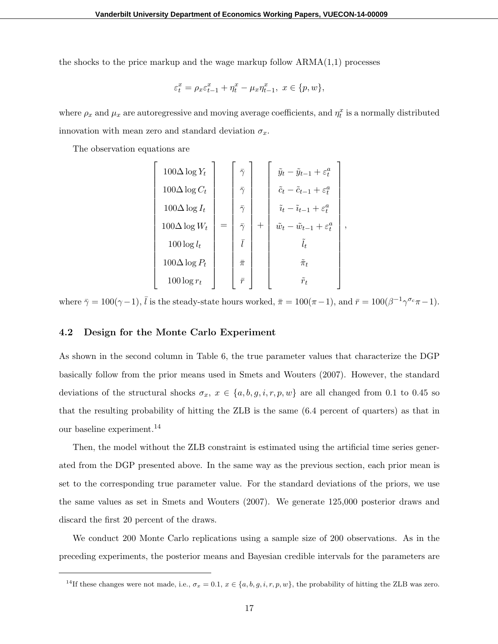the shocks to the price markup and the wage markup follow  $ARMA(1,1)$  processes

$$
\varepsilon_t^x = \rho_x \varepsilon_{t-1}^x + \eta_t^x - \mu_x \eta_{t-1}^x, \ x \in \{p, w\},\
$$

where  $\rho_x$  and  $\mu_x$  are autoregressive and moving average coefficients, and  $\eta_t^x$  is a normally distributed innovation with mean zero and standard deviation  $\sigma_x$ .

The observation equations are

 $\sqrt{ }$  $\frac{1}{2}$  $\mathbf{I}$  $\frac{1}{2}$  $\mathbf{I}$  $\perp$  $\frac{1}{2}$  $\mathbf{I}$  $\frac{1}{2}$  $\mathbf{I}$  $\frac{1}{2}$  $\mathbf{I}$  $\frac{1}{2}$  $\mathbf{I}$  $\frac{1}{2}$  $\mathbf{I}$  $\perp$  $\frac{1}{2}$  $\left| \right|$  $\overline{1}$ 

$$
\begin{aligned}\n100\Delta \log Y_t \\
100\Delta \log C_t \\
100\Delta \log I_t \\
100\Delta \log W_t \\
100\Delta \log P_t \\
100\Delta \log P_t \\
100\Delta \log P_t\n\end{aligned}\n=\n\begin{bmatrix}\n\bar{\gamma} \\
\bar{\gamma} \\
\bar{\gamma} \\
\bar{\gamma} \\
\bar{\gamma} \\
\bar{\gamma} \\
\bar{t} \\
\bar{\tau} \\
\bar{t} \\
\bar{\tau}\n\end{bmatrix}\n+\n\begin{bmatrix}\n\tilde{y}_t - \tilde{y}_{t-1} + \varepsilon_t^a \\
\tilde{c}_t - \tilde{c}_{t-1} + \varepsilon_t^a \\
\tilde{u}_t - \tilde{u}_{t-1} + \varepsilon_t^a \\
\tilde{u}_t - \tilde{w}_{t-1} + \varepsilon_t^a \\
\tilde{u}_t \\
\tilde{t}_t \\
\tilde{\tau} \\
\tilde{\tau}_t\n\end{bmatrix}
$$

*,*

where  $\bar{\gamma} = 100(\gamma - 1)$ ,  $\bar{l}$  is the steady-state hours worked,  $\bar{\pi} = 100(\pi - 1)$ , and  $\bar{r} = 100(\beta^{-1}\gamma^{\sigma_c}\pi - 1)$ .

#### **4.2 Design for the Monte Carlo Experiment**

As shown in the second column in Table 6, the true parameter values that characterize the DGP basically follow from the prior means used in Smets and Wouters (2007). However, the standard deviations of the structural shocks  $\sigma_x$ ,  $x \in \{a, b, g, i, r, p, w\}$  are all changed from 0.1 to 0.45 so that the resulting probability of hitting the ZLB is the same (6.4 percent of quarters) as that in our baseline experiment.<sup>14</sup>

Then, the model without the ZLB constraint is estimated using the artificial time series generated from the DGP presented above. In the same way as the previous section, each prior mean is set to the corresponding true parameter value. For the standard deviations of the priors, we use the same values as set in Smets and Wouters (2007). We generate 125,000 posterior draws and discard the first 20 percent of the draws.

We conduct 200 Monte Carlo replications using a sample size of 200 observations. As in the preceding experiments, the posterior means and Bayesian credible intervals for the parameters are

<sup>&</sup>lt;sup>14</sup>If these changes were not made, i.e.,  $\sigma_x = 0.1$ ,  $x \in \{a, b, g, i, r, p, w\}$ , the probability of hitting the ZLB was zero.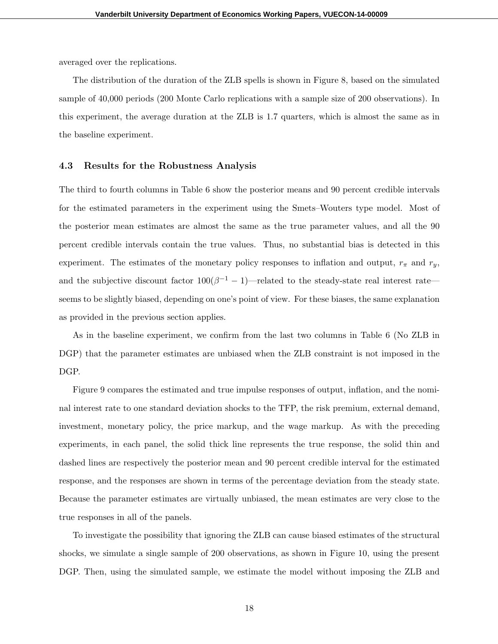averaged over the replications.

The distribution of the duration of the ZLB spells is shown in Figure 8, based on the simulated sample of 40,000 periods (200 Monte Carlo replications with a sample size of 200 observations). In this experiment, the average duration at the ZLB is 1.7 quarters, which is almost the same as in the baseline experiment.

#### **4.3 Results for the Robustness Analysis**

The third to fourth columns in Table 6 show the posterior means and 90 percent credible intervals for the estimated parameters in the experiment using the Smets–Wouters type model. Most of the posterior mean estimates are almost the same as the true parameter values, and all the 90 percent credible intervals contain the true values. Thus, no substantial bias is detected in this experiment. The estimates of the monetary policy responses to inflation and output,  $r_{\pi}$  and  $r_y$ , and the subjective discount factor  $100(\beta^{-1} - 1)$ —related to the steady-state real interest rate seems to be slightly biased, depending on one's point of view. For these biases, the same explanation as provided in the previous section applies.

As in the baseline experiment, we confirm from the last two columns in Table 6 (No ZLB in DGP) that the parameter estimates are unbiased when the ZLB constraint is not imposed in the DGP.

Figure 9 compares the estimated and true impulse responses of output, inflation, and the nominal interest rate to one standard deviation shocks to the TFP, the risk premium, external demand, investment, monetary policy, the price markup, and the wage markup. As with the preceding experiments, in each panel, the solid thick line represents the true response, the solid thin and dashed lines are respectively the posterior mean and 90 percent credible interval for the estimated response, and the responses are shown in terms of the percentage deviation from the steady state. Because the parameter estimates are virtually unbiased, the mean estimates are very close to the true responses in all of the panels.

To investigate the possibility that ignoring the ZLB can cause biased estimates of the structural shocks, we simulate a single sample of 200 observations, as shown in Figure 10, using the present DGP. Then, using the simulated sample, we estimate the model without imposing the ZLB and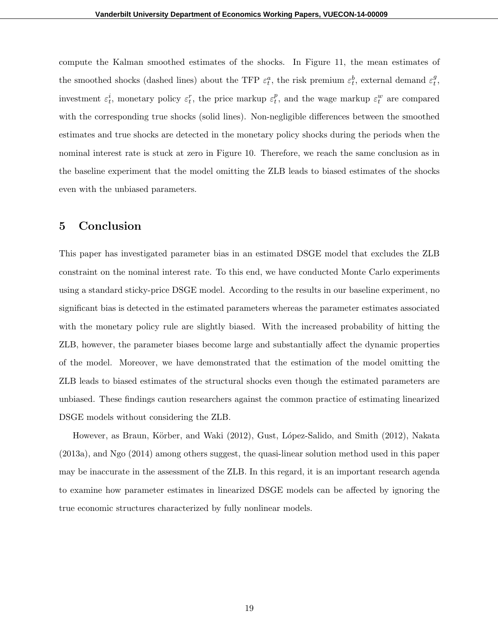compute the Kalman smoothed estimates of the shocks. In Figure 11, the mean estimates of the smoothed shocks (dashed lines) about the TFP  $\varepsilon_t^a$ , the risk premium  $\varepsilon_t^b$ , external demand  $\varepsilon_t^g$ *t* , investment  $\varepsilon_t^i$ , monetary policy  $\varepsilon_t^r$ , the price markup  $\varepsilon_t^p$  $t_t^p$ , and the wage markup  $\varepsilon_t^w$  are compared with the corresponding true shocks (solid lines). Non-negligible differences between the smoothed estimates and true shocks are detected in the monetary policy shocks during the periods when the nominal interest rate is stuck at zero in Figure 10. Therefore, we reach the same conclusion as in the baseline experiment that the model omitting the ZLB leads to biased estimates of the shocks even with the unbiased parameters.

## **5 Conclusion**

This paper has investigated parameter bias in an estimated DSGE model that excludes the ZLB constraint on the nominal interest rate. To this end, we have conducted Monte Carlo experiments using a standard sticky-price DSGE model. According to the results in our baseline experiment, no significant bias is detected in the estimated parameters whereas the parameter estimates associated with the monetary policy rule are slightly biased. With the increased probability of hitting the ZLB, however, the parameter biases become large and substantially affect the dynamic properties of the model. Moreover, we have demonstrated that the estimation of the model omitting the ZLB leads to biased estimates of the structural shocks even though the estimated parameters are unbiased. These findings caution researchers against the common practice of estimating linearized DSGE models without considering the ZLB.

However, as Braun, Körber, and Waki (2012), Gust, López-Salido, and Smith (2012), Nakata (2013a), and Ngo (2014) among others suggest, the quasi-linear solution method used in this paper may be inaccurate in the assessment of the ZLB. In this regard, it is an important research agenda to examine how parameter estimates in linearized DSGE models can be affected by ignoring the true economic structures characterized by fully nonlinear models.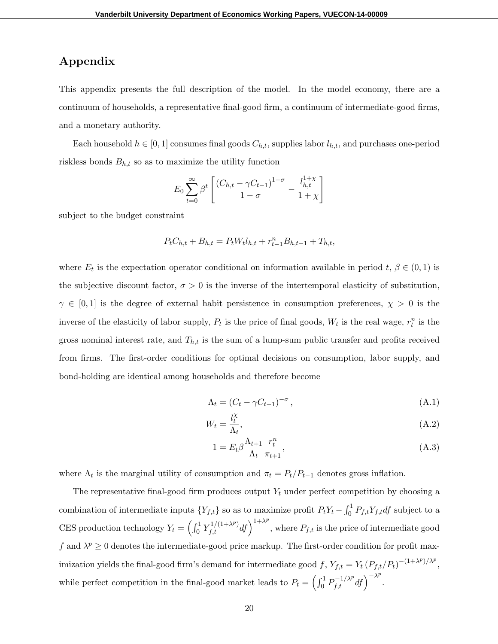## **Appendix**

This appendix presents the full description of the model. In the model economy, there are a continuum of households, a representative final-good firm, a continuum of intermediate-good firms, and a monetary authority.

Each household  $h \in [0, 1]$  consumes final goods  $C_{h,t}$ , supplies labor  $l_{h,t}$ , and purchases one-period riskless bonds  $B_{h,t}$  so as to maximize the utility function

$$
E_0 \sum_{t=0}^{\infty} \beta^t \left[ \frac{(C_{h,t} - \gamma C_{t-1})^{1-\sigma}}{1-\sigma} - \frac{l_{h,t}^{1+\chi}}{1+\chi} \right]
$$

subject to the budget constraint

$$
P_t C_{h,t} + B_{h,t} = P_t W_t l_{h,t} + r_{t-1}^n B_{h,t-1} + T_{h,t},
$$

where  $E_t$  is the expectation operator conditional on information available in period  $t, \beta \in (0,1)$  is the subjective discount factor,  $\sigma > 0$  is the inverse of the intertemporal elasticity of substitution,  $\gamma \in [0,1]$  is the degree of external habit persistence in consumption preferences,  $\chi > 0$  is the inverse of the elasticity of labor supply,  $P_t$  is the price of final goods,  $W_t$  is the real wage,  $r_t^n$  is the gross nominal interest rate, and  $T_{h,t}$  is the sum of a lump-sum public transfer and profits received from firms. The first-order conditions for optimal decisions on consumption, labor supply, and bond-holding are identical among households and therefore become

$$
\Lambda_t = \left(C_t - \gamma C_{t-1}\right)^{-\sigma},\tag{A.1}
$$

$$
W_t = \frac{l_t^{\chi}}{\Lambda_t},\tag{A.2}
$$

$$
1 = E_t \beta \frac{\Lambda_{t+1}}{\Lambda_t} \frac{r_t^n}{\pi_{t+1}},
$$
\n(A.3)

where  $\Lambda_t$  is the marginal utility of consumption and  $\pi_t = P_t/P_{t-1}$  denotes gross inflation.

The representative final-good firm produces output *Y<sup>t</sup>* under perfect competition by choosing a combination of intermediate inputs  ${Y_{f,t}}$  so as to maximize profit  $P_tY_t - \int_0^1 P_{f,t}Y_{f,t}df$  subject to a CES production technology  $Y_t = \left(\int_0^1 Y_{f,t}^{1/(1+\lambda^p)} df\right)^{1+\lambda^p}$ , where  $P_{f,t}$  is the price of intermediate good *f* and  $\lambda^p \geq 0$  denotes the intermediate-good price markup. The first-order condition for profit maximization yields the final-good firm's demand for intermediate good  $f$ ,  $Y_{f,t} = Y_t (P_{f,t}/P_t)^{-(1+\lambda^p)/\lambda^p}$ , while perfect competition in the final-good market leads to  $P_t = \left(\int_0^1 P_{f,t}^{-1/\lambda^p} df\right)^{-\lambda^p}$ .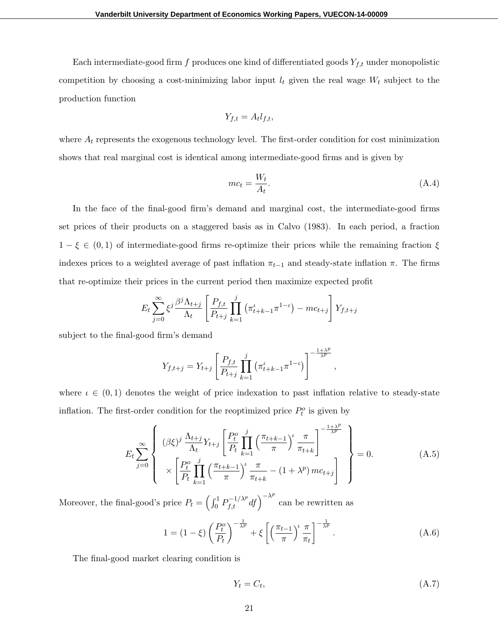Each intermediate-good firm *f* produces one kind of differentiated goods *Yf,t* under monopolistic competition by choosing a cost-minimizing labor input  $l_t$  given the real wage  $W_t$  subject to the production function

$$
Y_{f,t} = A_t l_{f,t},
$$

where  $A_t$  represents the exogenous technology level. The first-order condition for cost minimization shows that real marginal cost is identical among intermediate-good firms and is given by

$$
mc_t = \frac{W_t}{A_t}.\tag{A.4}
$$

In the face of the final-good firm's demand and marginal cost, the intermediate-good firms set prices of their products on a staggered basis as in Calvo (1983). In each period, a fraction 1 *− ξ ∈* (0*,* 1) of intermediate-good firms re-optimize their prices while the remaining fraction *ξ* indexes prices to a weighted average of past inflation  $\pi_{t-1}$  and steady-state inflation  $\pi$ . The firms that re-optimize their prices in the current period then maximize expected profit

$$
E_{t} \sum_{j=0}^{\infty} \xi^{j} \frac{\beta^{j} \Lambda_{t+j}}{\Lambda_{t}} \left[ \frac{P_{f,t}}{P_{t+j}} \prod_{k=1}^{j} \left( \pi_{t+k-1}^{t} \pi^{1-\iota} \right) - mc_{t+j} \right] Y_{f,t+j}
$$

subject to the final-good firm's demand

$$
Y_{f,t+j} = Y_{t+j} \left[ \frac{P_{f,t}}{P_{t+j}} \prod_{k=1}^j \left( \pi_{t+k-1}^t \pi^{1-t} \right) \right]^{-\frac{1+\lambda^p}{\lambda^p}},
$$

where  $\iota \in (0,1)$  denotes the weight of price indexation to past inflation relative to steady-state inflation. The first-order condition for the reoptimized price  $P_t^o$  is given by

$$
E_{t} \sum_{j=0}^{\infty} \left\{ \begin{array}{l} (\beta \xi)^{j} \frac{\Lambda_{t+j}}{\Lambda_{t}} Y_{t+j} \left[ \frac{P_{t}^{o}}{P_{t}} \prod_{k=1}^{j} \left( \frac{\pi_{t+k-1}}{\pi} \right)^{l} \frac{\pi}{\pi_{t+k}} \right]^{-\frac{1+\lambda^{p}}{\lambda^{p}}} \\ \times \left[ \frac{P_{t}^{o}}{P_{t}} \prod_{k=1}^{j} \left( \frac{\pi_{t+k-1}}{\pi} \right)^{l} \frac{\pi}{\pi_{t+k}} - (1+\lambda^{p}) m c_{t+j} \right] \end{array} \right\} = 0.
$$
 (A.5)

Moreover, the final-good's price  $P_t = \left(\int_0^1 P_{f,t}^{-1/\lambda^p} df\right)^{-\lambda^p}$ can be rewritten as

$$
1 = (1 - \xi) \left(\frac{P_t^o}{P_t}\right)^{-\frac{1}{\lambda^p}} + \xi \left[ \left(\frac{\pi_{t-1}}{\pi}\right)^t \frac{\pi}{\pi_t} \right]^{-\frac{1}{\lambda^p}}.
$$
\n(A.6)

The final-good market clearing condition is

$$
Y_t = C_t,\tag{A.7}
$$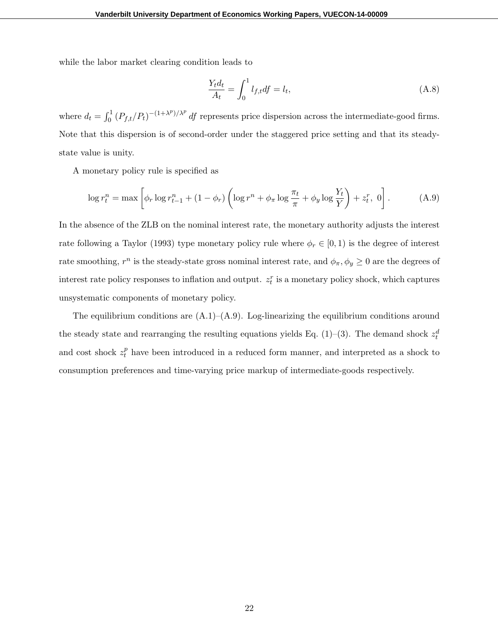while the labor market clearing condition leads to

$$
\frac{Y_t d_t}{A_t} = \int_0^1 l_{f,t} df = l_t,\tag{A.8}
$$

where  $d_t = \int_0^1 (P_{f,t}/P_t)^{-(1+\lambda^p)/\lambda^p} df$  represents price dispersion across the intermediate-good firms. Note that this dispersion is of second-order under the staggered price setting and that its steadystate value is unity.

A monetary policy rule is specified as

$$
\log r_t^n = \max \left[ \phi_r \log r_{t-1}^n + (1 - \phi_r) \left( \log r^n + \phi_\pi \log \frac{\pi_t}{\pi} + \phi_y \log \frac{Y_t}{Y} \right) + z_t^r, 0 \right]. \tag{A.9}
$$

In the absence of the ZLB on the nominal interest rate, the monetary authority adjusts the interest rate following a Taylor (1993) type monetary policy rule where  $\phi_r \in [0,1)$  is the degree of interest rate smoothing,  $r^n$  is the steady-state gross nominal interest rate, and  $\phi_{\pi}, \phi_y \ge 0$  are the degrees of interest rate policy responses to inflation and output.  $z_t^r$  is a monetary policy shock, which captures unsystematic components of monetary policy.

The equilibrium conditions are  $(A.1)$ – $(A.9)$ . Log-linearizing the equilibrium conditions around the steady state and rearranging the resulting equations yields Eq.  $(1)$ – $(3)$ . The demand shock  $z_t^d$ and cost shock  $z_t^p$  have been introduced in a reduced form manner, and interpreted as a shock to consumption preferences and time-varying price markup of intermediate-goods respectively.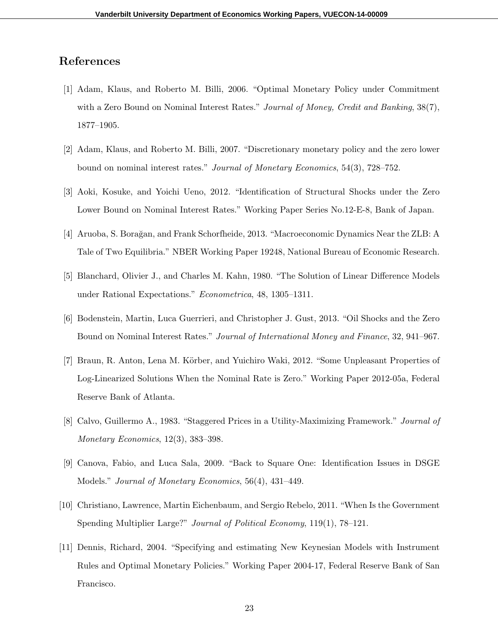## **References**

- [1] Adam, Klaus, and Roberto M. Billi, 2006. "Optimal Monetary Policy under Commitment with a Zero Bound on Nominal Interest Rates." *Journal of Money, Credit and Banking*, 38(7), 1877–1905.
- [2] Adam, Klaus, and Roberto M. Billi, 2007. "Discretionary monetary policy and the zero lower bound on nominal interest rates." *Journal of Monetary Economics*, 54(3), 728–752.
- [3] Aoki, Kosuke, and Yoichi Ueno, 2012. "Identification of Structural Shocks under the Zero Lower Bound on Nominal Interest Rates." Working Paper Series No.12-E-8, Bank of Japan.
- [4] Aruoba, S. Borağan, and Frank Schorfheide, 2013. "Macroeconomic Dynamics Near the ZLB: A Tale of Two Equilibria." NBER Working Paper 19248, National Bureau of Economic Research.
- [5] Blanchard, Olivier J., and Charles M. Kahn, 1980. "The Solution of Linear Difference Models under Rational Expectations." *Econometrica*, 48, 1305–1311.
- [6] Bodenstein, Martin, Luca Guerrieri, and Christopher J. Gust, 2013. "Oil Shocks and the Zero Bound on Nominal Interest Rates." *Journal of International Money and Finance*, 32, 941–967.
- [7] Braun, R. Anton, Lena M. Körber, and Yuichiro Waki, 2012. "Some Unpleasant Properties of Log-Linearized Solutions When the Nominal Rate is Zero." Working Paper 2012-05a, Federal Reserve Bank of Atlanta.
- [8] Calvo, Guillermo A., 1983. "Staggered Prices in a Utility-Maximizing Framework." *Journal of Monetary Economics*, 12(3), 383–398.
- [9] Canova, Fabio, and Luca Sala, 2009. "Back to Square One: Identification Issues in DSGE Models." *Journal of Monetary Economics*, 56(4), 431–449.
- [10] Christiano, Lawrence, Martin Eichenbaum, and Sergio Rebelo, 2011. "When Is the Government Spending Multiplier Large?" *Journal of Political Economy*, 119(1), 78–121.
- [11] Dennis, Richard, 2004. "Specifying and estimating New Keynesian Models with Instrument Rules and Optimal Monetary Policies." Working Paper 2004-17, Federal Reserve Bank of San Francisco.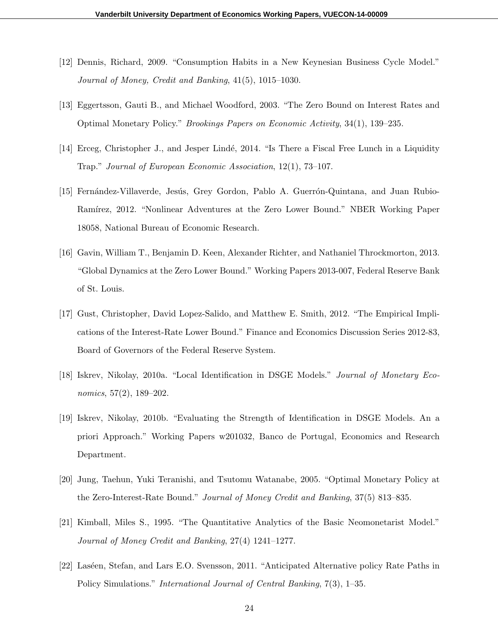- [12] Dennis, Richard, 2009. "Consumption Habits in a New Keynesian Business Cycle Model." *Journal of Money, Credit and Banking*, 41(5), 1015–1030.
- [13] Eggertsson, Gauti B., and Michael Woodford, 2003. "The Zero Bound on Interest Rates and Optimal Monetary Policy." *Brookings Papers on Economic Activity*, 34(1), 139–235.
- [14] Erceg, Christopher J., and Jesper Lindé, 2014. "Is There a Fiscal Free Lunch in a Liquidity Trap." *Journal of European Economic Association*, 12(1), 73–107.
- [15] Fernández-Villaverde, Jesús, Grey Gordon, Pablo A. Guerrón-Quintana, and Juan Rubio-Ramírez, 2012. "Nonlinear Adventures at the Zero Lower Bound." NBER Working Paper 18058, National Bureau of Economic Research.
- [16] Gavin, William T., Benjamin D. Keen, Alexander Richter, and Nathaniel Throckmorton, 2013. "Global Dynamics at the Zero Lower Bound." Working Papers 2013-007, Federal Reserve Bank of St. Louis.
- [17] Gust, Christopher, David Lopez-Salido, and Matthew E. Smith, 2012. "The Empirical Implications of the Interest-Rate Lower Bound." Finance and Economics Discussion Series 2012-83, Board of Governors of the Federal Reserve System.
- [18] Iskrev, Nikolay, 2010a. "Local Identification in DSGE Models." *Journal of Monetary Economics*, 57(2), 189–202.
- [19] Iskrev, Nikolay, 2010b. "Evaluating the Strength of Identification in DSGE Models. An a priori Approach." Working Papers w201032, Banco de Portugal, Economics and Research Department.
- [20] Jung, Taehun, Yuki Teranishi, and Tsutomu Watanabe, 2005. "Optimal Monetary Policy at the Zero-Interest-Rate Bound." *Journal of Money Credit and Banking*, 37(5) 813–835.
- [21] Kimball, Miles S., 1995. "The Quantitative Analytics of the Basic Neomonetarist Model." *Journal of Money Credit and Banking*, 27(4) 1241–1277.
- [22] Laséen, Stefan, and Lars E.O. Svensson, 2011. "Anticipated Alternative policy Rate Paths in Policy Simulations." *International Journal of Central Banking*, 7(3), 1–35.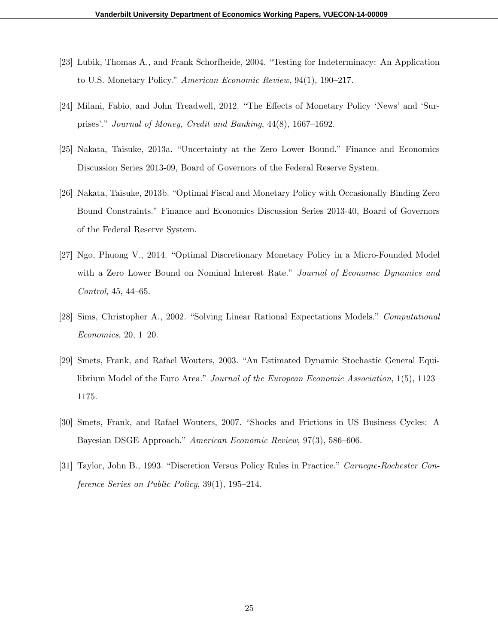- [23] Lubik, Thomas A., and Frank Schorfheide, 2004. "Testing for Indeterminacy: An Application to U.S. Monetary Policy." *American Economic Review*, 94(1), 190–217.
- [24] Milani, Fabio, and John Treadwell, 2012. "The Effects of Monetary Policy 'News' and 'Surprises'." *Journal of Money, Credit and Banking*, 44(8), 1667–1692.
- [25] Nakata, Taisuke, 2013a. "Uncertainty at the Zero Lower Bound." Finance and Economics Discussion Series 2013-09, Board of Governors of the Federal Reserve System.
- [26] Nakata, Taisuke, 2013b. "Optimal Fiscal and Monetary Policy with Occasionally Binding Zero Bound Constraints." Finance and Economics Discussion Series 2013-40, Board of Governors of the Federal Reserve System.
- [27] Ngo, Phuong V., 2014. "Optimal Discretionary Monetary Policy in a Micro-Founded Model with a Zero Lower Bound on Nominal Interest Rate." *Journal of Economic Dynamics and Control*, 45, 44–65.
- [28] Sims, Christopher A., 2002. "Solving Linear Rational Expectations Models." *Computational Economics*, 20, 1–20.
- [29] Smets, Frank, and Rafael Wouters, 2003. "An Estimated Dynamic Stochastic General Equilibrium Model of the Euro Area." *Journal of the European Economic Association*, 1(5), 1123– 1175.
- [30] Smets, Frank, and Rafael Wouters, 2007. "Shocks and Frictions in US Business Cycles: A Bayesian DSGE Approach." *American Economic Review*, 97(3), 586–606.
- [31] Taylor, John B., 1993. "Discretion Versus Policy Rules in Practice." *Carnegie-Rochester Conference Series on Public Policy*, 39(1), 195–214.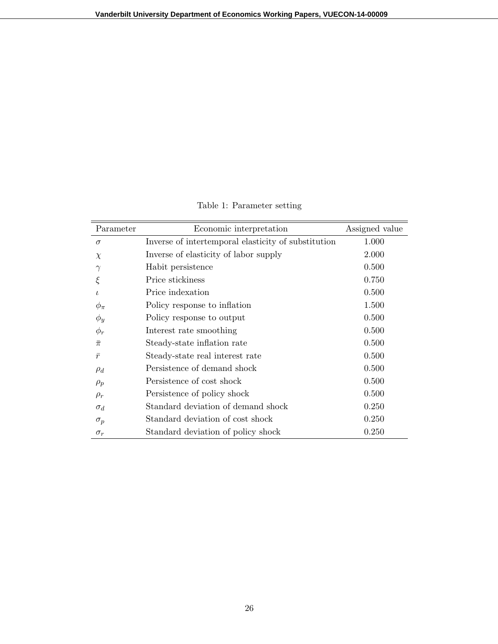| Parameter    | Economic interpretation                             | Assigned value |
|--------------|-----------------------------------------------------|----------------|
| $\sigma$     | Inverse of intertemporal elasticity of substitution | 1.000          |
| $\chi$       | Inverse of elasticity of labor supply               | 2.000          |
| $\gamma$     | Habit persistence                                   | 0.500          |
| ξ            | Price stickiness                                    | 0.750          |
| ı            | Price indexation                                    | 0.500          |
| $\phi_{\pi}$ | Policy response to inflation                        | 1.500          |
| $\phi_y$     | Policy response to output                           | 0.500          |
| $\phi_r$     | Interest rate smoothing                             | 0.500          |
| $\bar{\pi}$  | Steady-state inflation rate                         | 0.500          |
| $\bar{r}$    | Steady-state real interest rate                     | 0.500          |
| $\rho_d$     | Persistence of demand shock                         | 0.500          |
| $\rho_p$     | Persistence of cost shock                           | 0.500          |
| $\rho_r$     | Persistence of policy shock                         | 0.500          |
| $\sigma_d$   | Standard deviation of demand shock                  | 0.250          |
| $\sigma_p$   | Standard deviation of cost shock                    | 0.250          |
| $\sigma_r$   | Standard deviation of policy shock                  | 0.250          |

Table 1: Parameter setting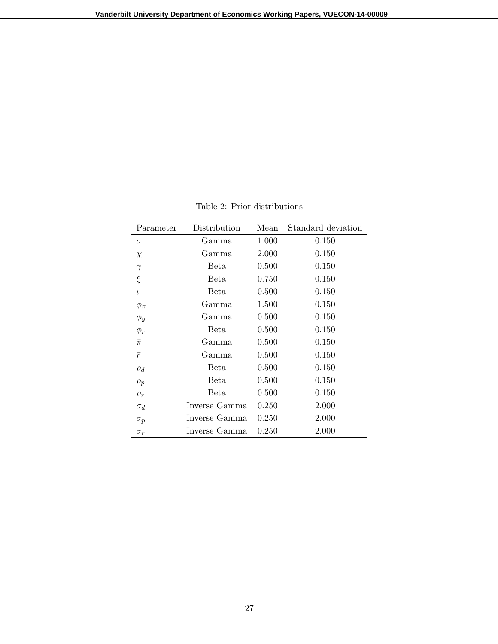| Parameter    | Distribution  | Mean  | Standard deviation |
|--------------|---------------|-------|--------------------|
| $\sigma$     | Gamma         | 1.000 | 0.150              |
| $\chi$       | Gamma         | 2.000 | 0.150              |
| $\gamma$     | Beta          | 0.500 | 0.150              |
| $\xi$        | Beta          | 0.750 | 0.150              |
| $\iota$      | Beta          | 0.500 | 0.150              |
| $\phi_{\pi}$ | Gamma         | 1.500 | 0.150              |
| $\phi_y$     | Gamma         | 0.500 | 0.150              |
| $\phi_r$     | Beta          | 0.500 | 0.150              |
| $\bar{\pi}$  | Gamma         | 0.500 | 0.150              |
| $\bar{r}$    | Gamma         | 0.500 | 0.150              |
| $\rho_d$     | Beta          | 0.500 | 0.150              |
| $\rho_p$     | Beta          | 0.500 | 0.150              |
| $\rho_r$     | Beta          | 0.500 | 0.150              |
| $\sigma_d$   | Inverse Gamma | 0.250 | 2.000              |
| $\sigma_p$   | Inverse Gamma | 0.250 | 2.000              |
| $\sigma_r$   | Inverse Gamma | 0.250 | 2.000              |

Table 2: Prior distributions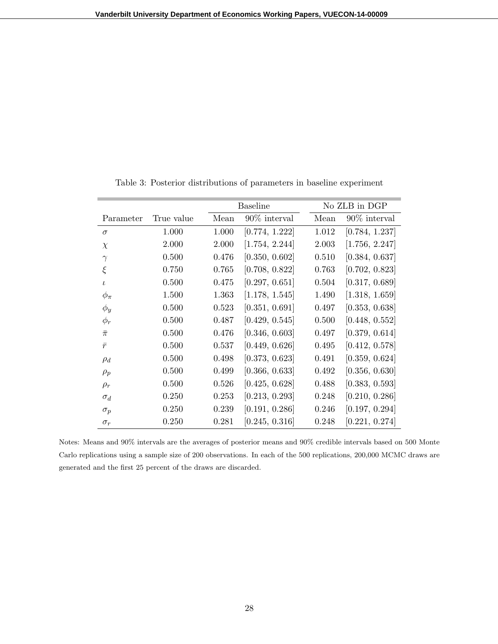|              |            |       | <b>Baseline</b> |       | No ZLB in DGP  |  |
|--------------|------------|-------|-----------------|-------|----------------|--|
| Parameter    | True value | Mean  | 90\% interval   | Mean  | 90\% interval  |  |
| $\sigma$     | 1.000      | 1.000 | [0.774, 1.222]  | 1.012 | [0.784, 1.237] |  |
| $\chi$       | 2.000      | 2.000 | [1.754, 2.244]  | 2.003 | [1.756, 2.247] |  |
| $\gamma$     | 0.500      | 0.476 | [0.350, 0.602]  | 0.510 | [0.384, 0.637] |  |
| ξ            | 0.750      | 0.765 | [0.708, 0.822]  | 0.763 | [0.702, 0.823] |  |
| $\iota$      | 0.500      | 0.475 | [0.297, 0.651]  | 0.504 | [0.317, 0.689] |  |
| $\phi_{\pi}$ | 1.500      | 1.363 | [1.178, 1.545]  | 1.490 | [1.318, 1.659] |  |
| $\phi_y$     | 0.500      | 0.523 | [0.351, 0.691]  | 0.497 | [0.353, 0.638] |  |
| $\phi_r$     | 0.500      | 0.487 | [0.429, 0.545]  | 0.500 | [0.448, 0.552] |  |
| $\bar{\pi}$  | 0.500      | 0.476 | [0.346, 0.603]  | 0.497 | [0.379, 0.614] |  |
| $\bar{r}$    | 0.500      | 0.537 | [0.449, 0.626]  | 0.495 | [0.412, 0.578] |  |
| $\rho_d$     | 0.500      | 0.498 | [0.373, 0.623]  | 0.491 | [0.359, 0.624] |  |
| $\rho_p$     | 0.500      | 0.499 | [0.366, 0.633]  | 0.492 | [0.356, 0.630] |  |
| $\rho_r$     | 0.500      | 0.526 | [0.425, 0.628]  | 0.488 | [0.383, 0.593] |  |
| $\sigma_d$   | 0.250      | 0.253 | [0.213, 0.293]  | 0.248 | [0.210, 0.286] |  |
| $\sigma_p$   | 0.250      | 0.239 | [0.191, 0.286]  | 0.246 | [0.197, 0.294] |  |
| $\sigma_r$   | 0.250      | 0.281 | [0.245, 0.316]  | 0.248 | [0.221, 0.274] |  |

Table 3: Posterior distributions of parameters in baseline experiment

Notes: Means and 90% intervals are the averages of posterior means and 90% credible intervals based on 500 Monte Carlo replications using a sample size of 200 observations. In each of the 500 replications, 200,000 MCMC draws are generated and the first 25 percent of the draws are discarded.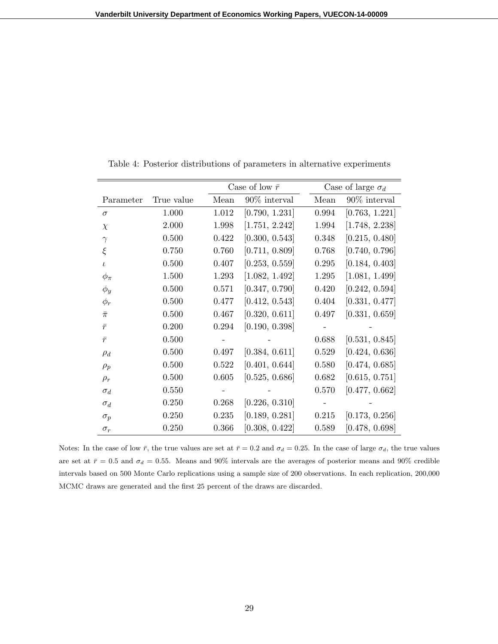|              |            |       | Case of low $\bar{r}$ |       | Case of large $\sigma_d$ |
|--------------|------------|-------|-----------------------|-------|--------------------------|
| Parameter    | True value | Mean  | $90\%$ interval       | Mean  | 90\% interval            |
| $\sigma$     | 1.000      | 1.012 | [0.790, 1.231]        | 0.994 | [0.763, 1.221]           |
| $\chi$       | 2.000      | 1.998 | [1.751, 2.242]        | 1.994 | [1.748, 2.238]           |
| $\gamma$     | 0.500      | 0.422 | [0.300, 0.543]        | 0.348 | [0.215, 0.480]           |
| ξ            | 0.750      | 0.760 | [0.711, 0.809]        | 0.768 | [0.740, 0.796]           |
| $\iota$      | 0.500      | 0.407 | [0.253, 0.559]        | 0.295 | [0.184, 0.403]           |
| $\phi_{\pi}$ | 1.500      | 1.293 | [1.082, 1.492]        | 1.295 | [1.081, 1.499]           |
| $\phi_y$     | 0.500      | 0.571 | [0.347, 0.790]        | 0.420 | [0.242, 0.594]           |
| $\phi_r$     | 0.500      | 0.477 | [0.412, 0.543]        | 0.404 | [0.331, 0.477]           |
| $\bar{\pi}$  | 0.500      | 0.467 | [0.320, 0.611]        | 0.497 | [0.331, 0.659]           |
| $\bar{r}$    | 0.200      | 0.294 | [0.190, 0.398]        |       |                          |
| $\bar{r}$    | 0.500      |       |                       | 0.688 | [0.531, 0.845]           |
| $\rho_d$     | 0.500      | 0.497 | [0.384, 0.611]        | 0.529 | [0.424, 0.636]           |
| $\rho_p$     | 0.500      | 0.522 | [0.401, 0.644]        | 0.580 | [0.474, 0.685]           |
| $\rho_r$     | 0.500      | 0.605 | [0.525, 0.686]        | 0.682 | [0.615, 0.751]           |
| $\sigma_d$   | 0.550      |       |                       | 0.570 | [0.477, 0.662]           |
| $\sigma_d$   | 0.250      | 0.268 | [0.226, 0.310]        |       |                          |
| $\sigma_p$   | 0.250      | 0.235 | [0.189, 0.281]        | 0.215 | [0.173, 0.256]           |
| $\sigma_r$   | 0.250      | 0.366 | [0.308, 0.422]        | 0.589 | [0.478, 0.698]           |

Table 4: Posterior distributions of parameters in alternative experiments

Notes: In the case of low  $\bar{r}$ , the true values are set at  $\bar{r} = 0.2$  and  $\sigma_d = 0.25$ . In the case of large  $\sigma_d$ , the true values are set at  $\bar{r} = 0.5$  and  $\sigma_d = 0.55$ . Means and 90% intervals are the averages of posterior means and 90% credible intervals based on 500 Monte Carlo replications using a sample size of 200 observations. In each replication, 200,000 MCMC draws are generated and the first 25 percent of the draws are discarded.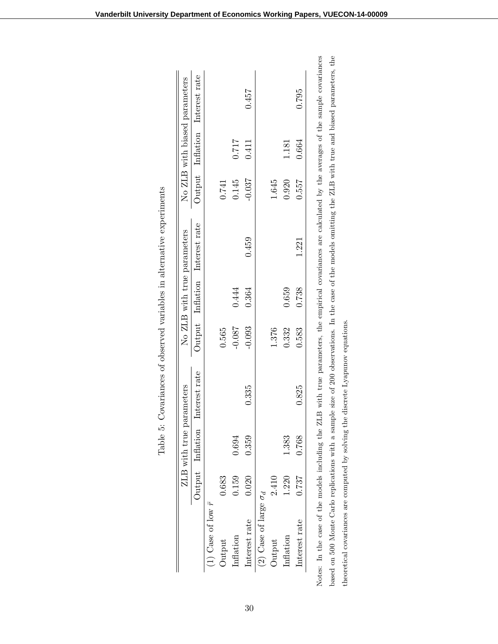|                              |       | ZLB with true parameters |               |          |       | No ZLB with true parameters    |          |       | No ZLB with biased parameters  |
|------------------------------|-------|--------------------------|---------------|----------|-------|--------------------------------|----------|-------|--------------------------------|
|                              |       | Output Inflation         | Interest rate |          |       | Output Inflation Interest rate |          |       | Output Inflation Interest rate |
| (1) Case of low $\bar{r}$    |       |                          |               |          |       |                                |          |       |                                |
| Output                       | 0.683 |                          |               | 0.565    |       |                                | 0.741    |       |                                |
| Inflation                    | 0.159 | 0.694                    |               | $-0.087$ | 0.444 |                                | 0.145    | 717.0 |                                |
| Interest rate                | 0.020 | 0.359                    | 0.335         | $-0.093$ | 0.364 | 0.459                          | $-0.037$ | 0.411 | 0.457                          |
| (2) Case of large $\sigma_d$ |       |                          |               |          |       |                                |          |       |                                |
| Output                       | 2.410 |                          |               | 1.376    |       |                                | 1.645    |       |                                |
| Inflation                    | 1.220 | 1.383                    |               | 0.332    | 0.659 |                                | 0.920    | 1.181 |                                |
| Interest rate                | 0.737 | 0.768                    | 0.825         | 0.583    | 0.738 | 1.221                          | 0.557    | 0.664 | 0.795                          |

theoretical covariances are computed by solving the discrete Lyapunov equations.

theoretical covariances are computed by solving the discrete Lyapunov equations.

Table 5: Covariances of observed variables in alternative experiments Table 5: Covariances of observed variables in alternative experiments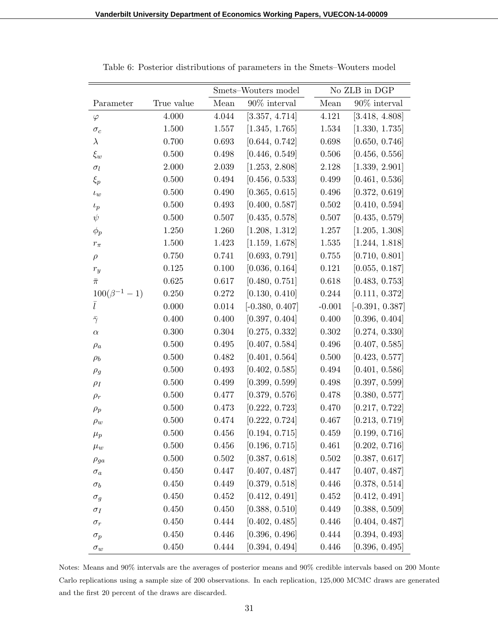|                       |            | Smets-Wouters model |                   |             | No ZLB in DGP     |  |
|-----------------------|------------|---------------------|-------------------|-------------|-------------------|--|
| Parameter             | True value | Mean                | $90\%$ interval   | Mean        | $90\%$ interval   |  |
| $\varphi$             | 4.000      | 4.044               | [3.357, 4.714]    | $4.121\,$   | [3.418, 4.808]    |  |
| $\sigma_c$            | 1.500      | 1.557               | [1.345, 1.765]    | 1.534       | [1.330, 1.735]    |  |
| $\lambda$             | 0.700      | 0.693               | [0.644, 0.742]    | 0.698       | [0.650, 0.746]    |  |
| $\xi_w$               | 0.500      | 0.498               | [0.446, 0.549]    | 0.506       | [0.456, 0.556]    |  |
| $\sigma_l$            | 2.000      | 2.039               | [1.253, 2.808]    | 2.128       | [1.339, 2.901]    |  |
| $\xi_p$               | 0.500      | $\,0.494\,$         | [0.456, 0.533]    | 0.499       | [0.461, 0.536]    |  |
| $\iota_w$             | 0.500      | 0.490               | [0.365, 0.615]    | $0.496\,$   | [0.372, 0.619]    |  |
| $\iota_p$             | 0.500      | 0.493               | [0.400, 0.587]    | 0.502       | [0.410, 0.594]    |  |
| $\psi$                | 0.500      | 0.507               | [0.435, 0.578]    | 0.507       | [0.435, 0.579]    |  |
| $\phi_p$              | 1.250      | 1.260               | [1.208, 1.312]    | 1.257       | [1.205, 1.308]    |  |
| $r_{\pi}$             | 1.500      | 1.423               | [1.159, 1.678]    | 1.535       | [1.244, 1.818]    |  |
| $\rho$                | 0.750      | 0.741               | [0.693, 0.791]    | 0.755       | [0.710, 0.801]    |  |
| $r_{\boldsymbol{y}}$  | 0.125      | 0.100               | [0.036, 0.164]    | 0.121       | [0.055, 0.187]    |  |
| $\bar{\pi}$           | 0.625      | 0.617               | [0.480, 0.751]    | 0.618       | [0.483, 0.753]    |  |
| $100(\beta^{-1} - 1)$ | 0.250      | 0.272               | [0.130, 0.410]    | 0.244       | [0.111, 0.372]    |  |
| $\bar{l}$             | 0.000      | $0.014\,$           | $[-0.380, 0.407]$ | $-0.001$    | $[-0.391, 0.387]$ |  |
| $\bar{\gamma}$        | 0.400      | 0.400               | [0.397, 0.404]    | 0.400       | [0.396, 0.404]    |  |
| $\alpha$              | 0.300      | $0.304\,$           | [0.275, 0.332]    | 0.302       | [0.274, 0.330]    |  |
| $\rho_a$              | 0.500      | 0.495               | [0.407, 0.584]    | 0.496       | [0.407, 0.585]    |  |
| $\rho_b$              | 0.500      | 0.482               | [0.401, 0.564]    | 0.500       | [0.423, 0.577]    |  |
| $\rho_g$              | $0.500\,$  | $\,0.493\,$         | [0.402, 0.585]    | $\,0.494\,$ | [0.401, 0.586]    |  |
| $\rho_I$              | 0.500      | 0.499               | [0.399, 0.599]    | 0.498       | [0.397, 0.599]    |  |
| $\rho_r$              | 0.500      | 0.477               | [0.379, 0.576]    | 0.478       | [0.380, 0.577]    |  |
| $\rho_p$              | 0.500      | 0.473               | [0.222, 0.723]    | 0.470       | [0.217, 0.722]    |  |
| $\rho_w$              | 0.500      | 0.474               | [0.222, 0.724]    | 0.467       | [0.213, 0.719]    |  |
| $\mu_p$               | 0.500      | 0.456               | [0.194, 0.715]    | 0.459       | [0.199, 0.716]    |  |
| $\mu_w$               | 0.500      | 0.456               | [0.196, 0.715]    | 0.461       | [0.202, 0.716]    |  |
| $\rho_{ga}$           | 0.500      | 0.502               | [0.387, 0.618]    | 0.502       | [0.387, 0.617]    |  |
| $\sigma_a$            | 0.450      | 0.447               | [0.407, 0.487]    | 0.447       | [0.407, 0.487]    |  |
| $\sigma_b$            | 0.450      | 0.449               | [0.379, 0.518]    | 0.446       | [0.378, 0.514]    |  |
| $\sigma_g$            | 0.450      | 0.452               | [0.412, 0.491]    | 0.452       | [0.412, 0.491]    |  |
| $\sigma_I$            | 0.450      | 0.450               | [0.388, 0.510]    | 0.449       | [0.388, 0.509]    |  |
| $\sigma_r$            | 0.450      | 0.444               | [0.402, 0.485]    | 0.446       | [0.404, 0.487]    |  |
| $\sigma_p$            | 0.450      | 0.446               | [0.396, 0.496]    | 0.444       | [0.394, 0.493]    |  |
| $\sigma_w$            | 0.450      | 0.444               | [0.394, 0.494]    | 0.446       | [0.396, 0.495]    |  |

Table 6: Posterior distributions of parameters in the Smets–Wouters model

Notes: Means and 90% intervals are the averages of posterior means and 90% credible intervals based on 200 Monte Carlo replications using a sample size of 200 observations. In each replication, 125,000 MCMC draws are generated and the first 20 percent of the draws are discarded.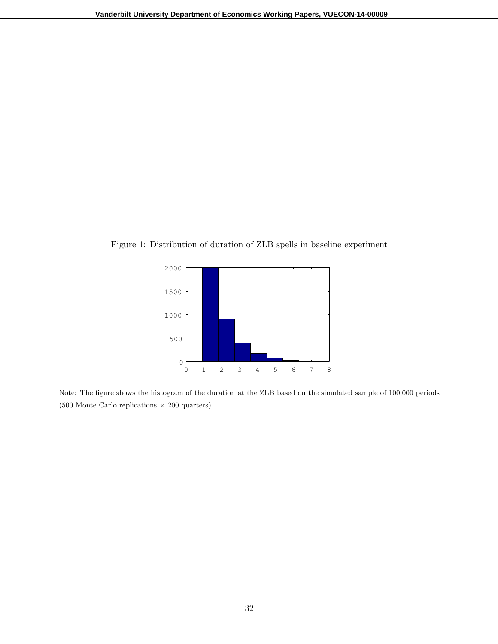Figure 1: Distribution of duration of ZLB spells in baseline experiment



Note: The figure shows the histogram of the duration at the ZLB based on the simulated sample of 100,000 periods (500 Monte Carlo replications *×* 200 quarters).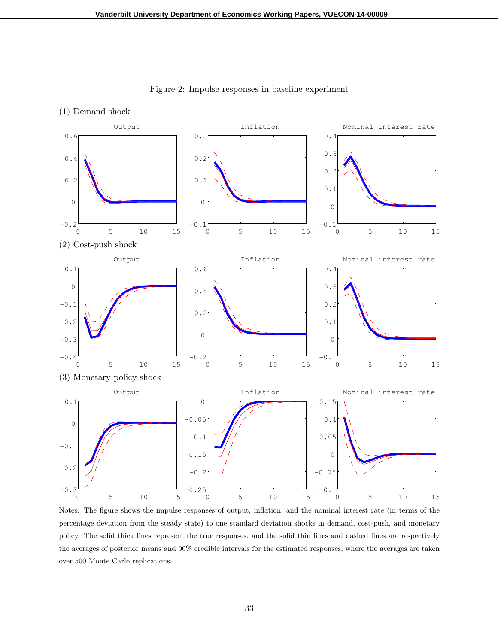

Figure 2: Impulse responses in baseline experiment

(1) Demand shock

Notes: The figure shows the impulse responses of output, inflation, and the nominal interest rate (in terms of the percentage deviation from the steady state) to one standard deviation shocks in demand, cost-push, and monetary policy. The solid thick lines represent the true responses, and the solid thin lines and dashed lines are respectively the averages of posterior means and 90% credible intervals for the estimated responses, where the averages are taken over 500 Monte Carlo replications.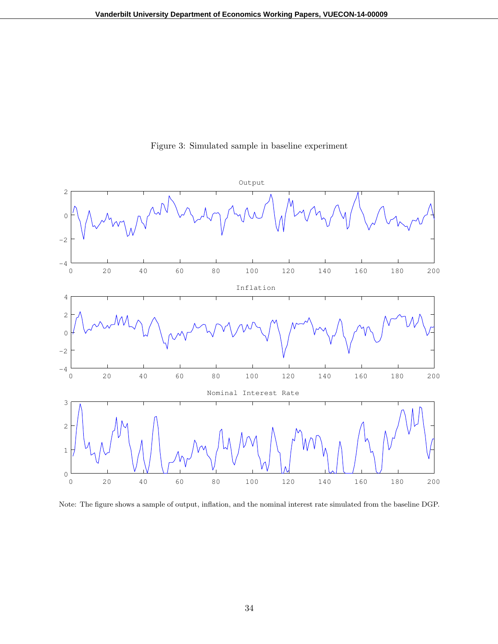

Figure 3: Simulated sample in baseline experiment

Note: The figure shows a sample of output, inflation, and the nominal interest rate simulated from the baseline DGP.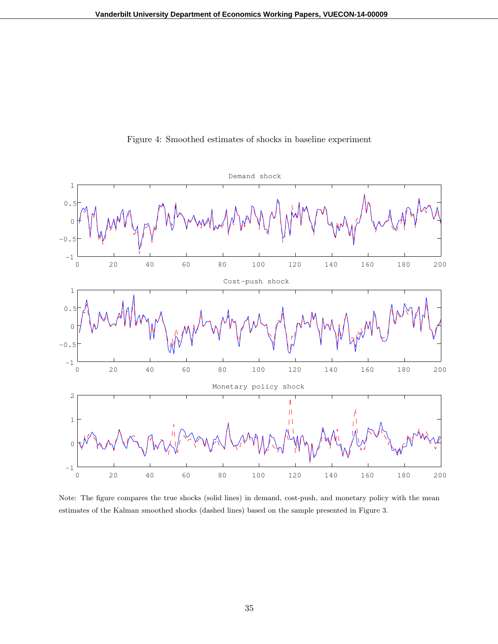

Figure 4: Smoothed estimates of shocks in baseline experiment

Note: The figure compares the true shocks (solid lines) in demand, cost-push, and monetary policy with the mean estimates of the Kalman smoothed shocks (dashed lines) based on the sample presented in Figure 3.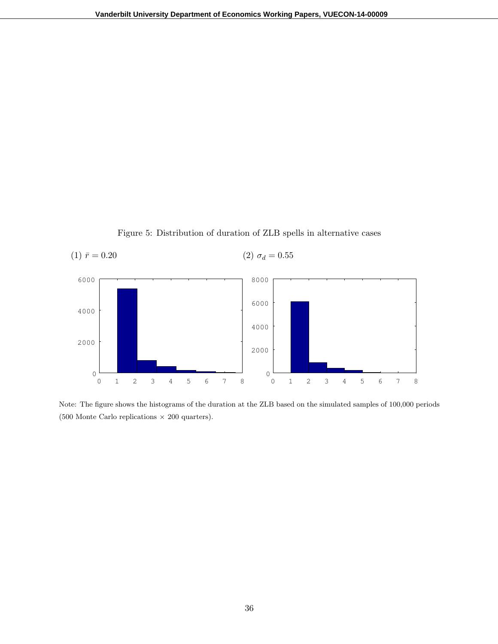

Figure 5: Distribution of duration of ZLB spells in alternative cases

Note: The figure shows the histograms of the duration at the ZLB based on the simulated samples of 100,000 periods (500 Monte Carlo replications *×* 200 quarters).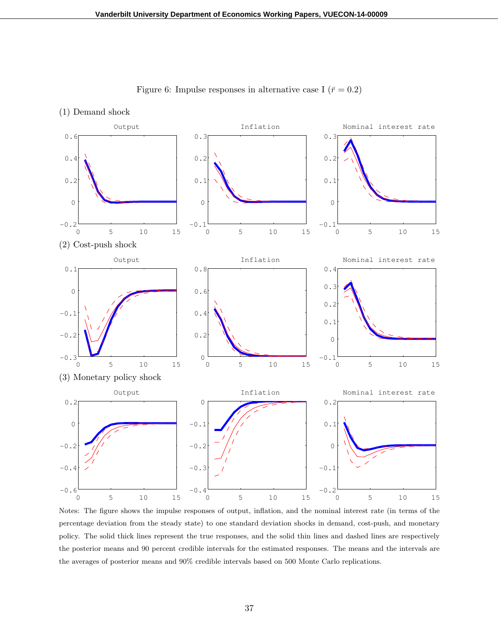

Figure 6: Impulse responses in alternative case I ( $\bar{r} = 0.2$ )

(1) Demand shock

Notes: The figure shows the impulse responses of output, inflation, and the nominal interest rate (in terms of the percentage deviation from the steady state) to one standard deviation shocks in demand, cost-push, and monetary policy. The solid thick lines represent the true responses, and the solid thin lines and dashed lines are respectively the posterior means and 90 percent credible intervals for the estimated responses. The means and the intervals are the averages of posterior means and 90% credible intervals based on 500 Monte Carlo replications.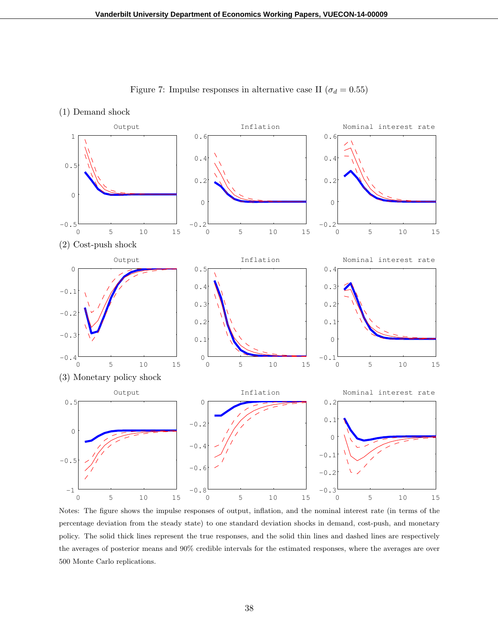

Figure 7: Impulse responses in alternative case II  $(\sigma_d = 0.55)$ 

(1) Demand shock

Notes: The figure shows the impulse responses of output, inflation, and the nominal interest rate (in terms of the percentage deviation from the steady state) to one standard deviation shocks in demand, cost-push, and monetary policy. The solid thick lines represent the true responses, and the solid thin lines and dashed lines are respectively the averages of posterior means and 90% credible intervals for the estimated responses, where the averages are over 500 Monte Carlo replications.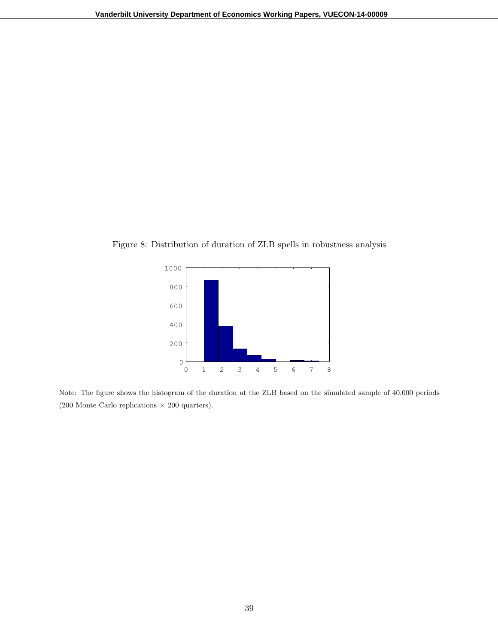Figure 8: Distribution of duration of ZLB spells in robustness analysis



Note: The figure shows the histogram of the duration at the ZLB based on the simulated sample of 40,000 periods (200 Monte Carlo replications *×* 200 quarters).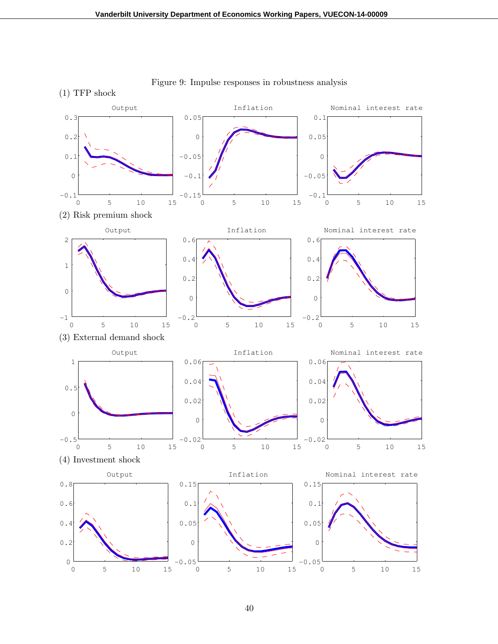

Figure 9: Impulse responses in robustness analysis

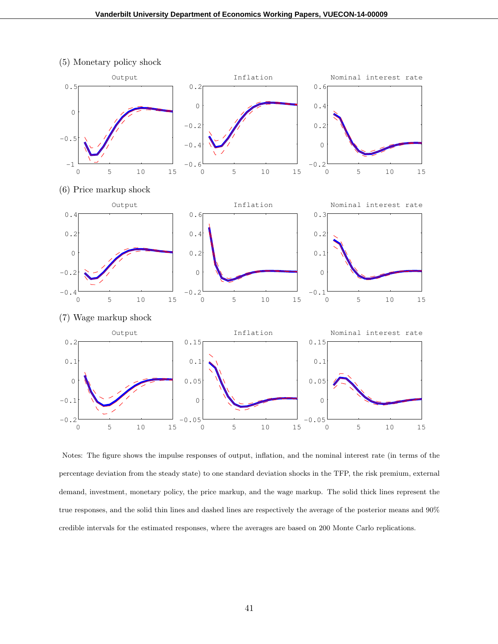

(5) Monetary policy shock

Notes: The figure shows the impulse responses of output, inflation, and the nominal interest rate (in terms of the percentage deviation from the steady state) to one standard deviation shocks in the TFP, the risk premium, external demand, investment, monetary policy, the price markup, and the wage markup. The solid thick lines represent the true responses, and the solid thin lines and dashed lines are respectively the average of the posterior means and 90% credible intervals for the estimated responses, where the averages are based on 200 Monte Carlo replications.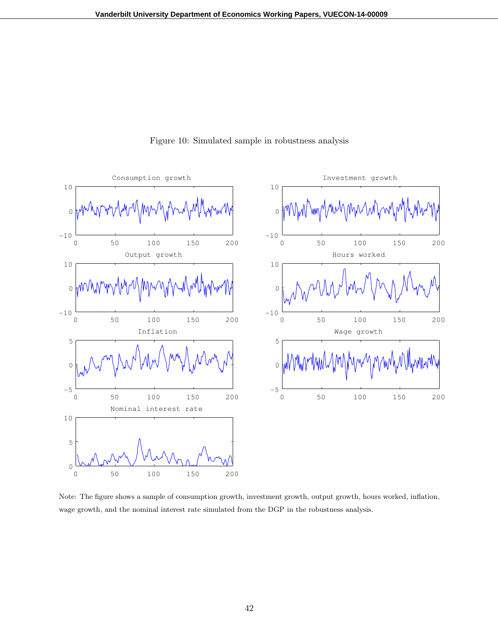

Figure 10: Simulated sample in robustness analysis

Note: The figure shows a sample of consumption growth, investment growth, output growth, hours worked, inflation, wage growth, and the nominal interest rate simulated from the DGP in the robustness analysis.